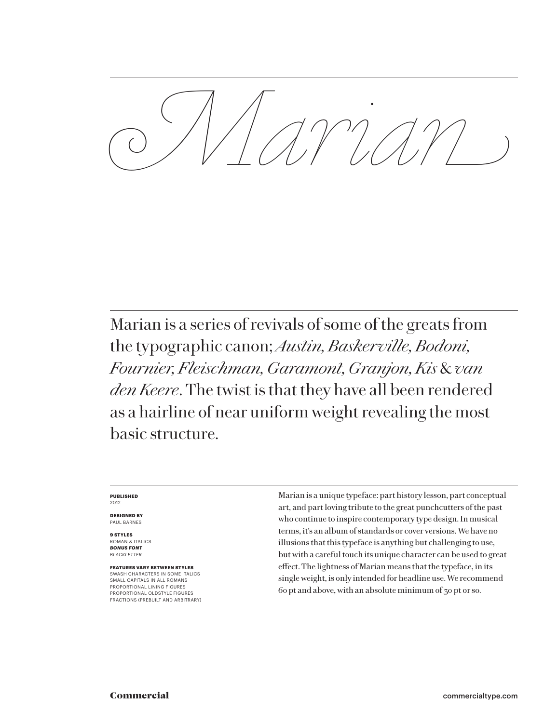*Marian*

Marian is a series of revivals of some of the greats from the typographic canon; *Austin, Baskerville, Bodoni, Fournier, Fleischman, Garamont, Granjon, Kis* & *van den Keere*. The twist is that they have all been rendered as a hairline of near uniform weight revealing the most basic structure.

#### **PUBLISHED** 2012

**DESIGNED BY** PAUL BARNES

**9 STYLES** ROMAN & ITALICS *BONUS FONT BLACKLETTER*

**FEATURES VARY BETWEEN STYLES** SWASH CHARACTERS IN SOME ITALICS SMALL CAPITALS IN ALL ROMANS PROPORTIONAL LINING FIGURES PROPORTIONAL OLDSTYLE FIGURES FRACTIONS (PREBUILT AND ARBITRARY) Marian is a unique typeface: part history lesson, part conceptual art, and part loving tribute to the great punchcutters of the past who continue to inspire contemporary type design. In musical terms, it's an album of standards or cover versions. We have no illusions that this typeface is anything but challenging to use, but with a careful touch its unique character can be used to great effect. The lightness of Marian means that the typeface, in its single weight, is only intended for headline use. We recommend 60 pt and above, with an absolute minimum of 30 pt or so.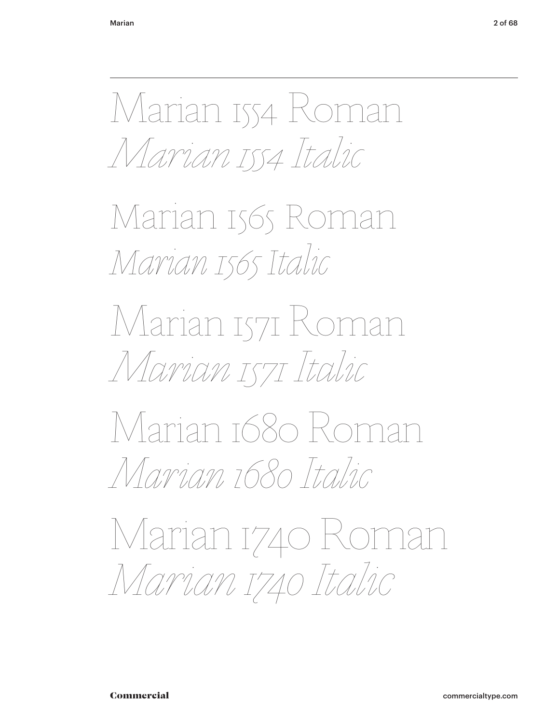Marian 1554 Roman *Marian 1554 Italic*

Marian 1565 Roman *Marian 1565 Italic*

Marian 1571 Roman *Marian 1571 Italic*

Marian 1680 Roman *Marian 1680 Italic*

Marian 1740 Roman *Marian 1740 Italic*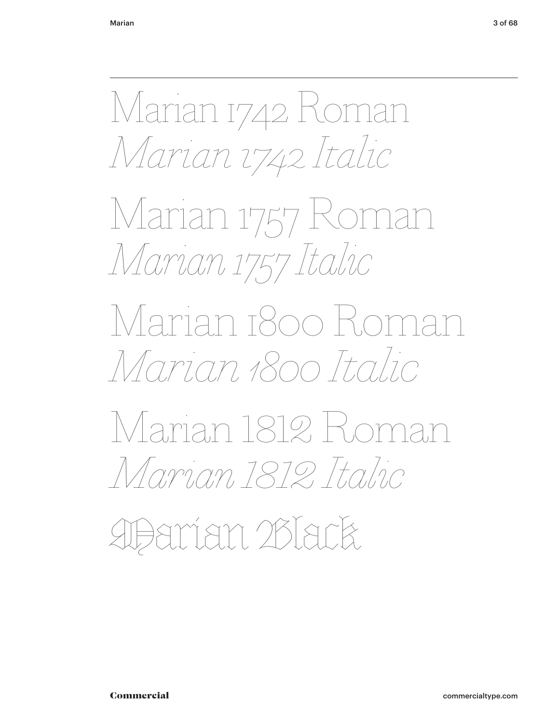Marian 1742 Roman *Marian 1742 Italic*

Marian 1757 Roman *Marian 1757 Italic*

Marian 1800 Roman *Marian 1800 Italic*

Marian 1812 Roman *Marian 1812 Italic*

Marian Black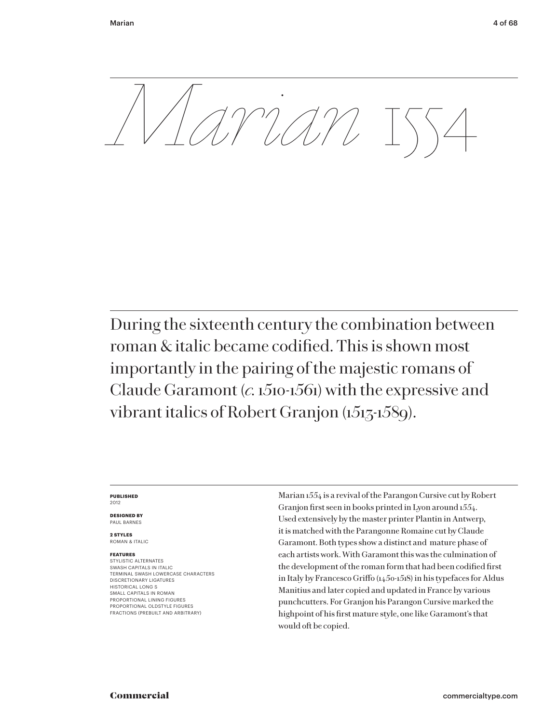*Marian* 1554

During the sixteenth century the combination between roman & italic became codified. This is shown most importantly in the pairing of the majestic romans of Claude Garamont (*c.* 1510-1561) with the expressive and vibrant italics of Robert Granjon (1513-1589).

#### **PUBLISHED** 2012

**DESIGNED BY** PAUL BARNES

**2 STYLES** ROMAN & ITALIC

# **FEATURES**

STYLISTIC ALTERNATES SWASH CAPITALS IN ITALIC TERMINAL SWASH LOWERCASE CHARACTERS DISCRETIONARY LIGATURES HISTORICAL LONG S SMALL CAPITALS IN ROMAN PROPORTIONAL LINING FIGURES PROPORTIONAL OLDSTYLE FIGURES FRACTIONS (PREBUILT AND ARBITRARY)

Marian 1554 is a revival of the Parangon Cursive cut by Robert Granjon first seen in books printed in Lyon around 1554. Used extensively by the master printer Plantin in Antwerp, it is matched with the Parangonne Romaine cut by Claude Garamont. Both types show a distinct and mature phase of each artists work. With Garamont this was the culmination of the development of the roman form that had been codified first in Italy by Francesco Griffo ( $1450-1518$ ) in his typefaces for Aldus Manitius and later copied and updated in France by various punchcutters. For Granjon his Parangon Cursive marked the highpoint of his first mature style, one like Garamont's that would oft be copied.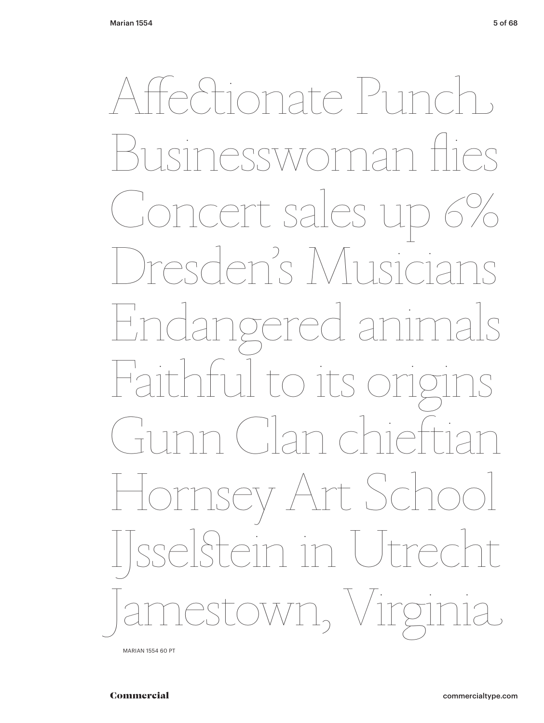*Pationate Punch*  $\bigcap$  $7777$  $D\cap C$ ncert sales u Ten's Musi MACC  $\lfloor S \rfloor$  $\Box$ gere Faithfu Itoits  $\bigcap_{n=1}^{\infty}$ ey Art Sch n in Utrec  $\uparrow$  $OW1_2$ 

MARIAN 1554 60 PT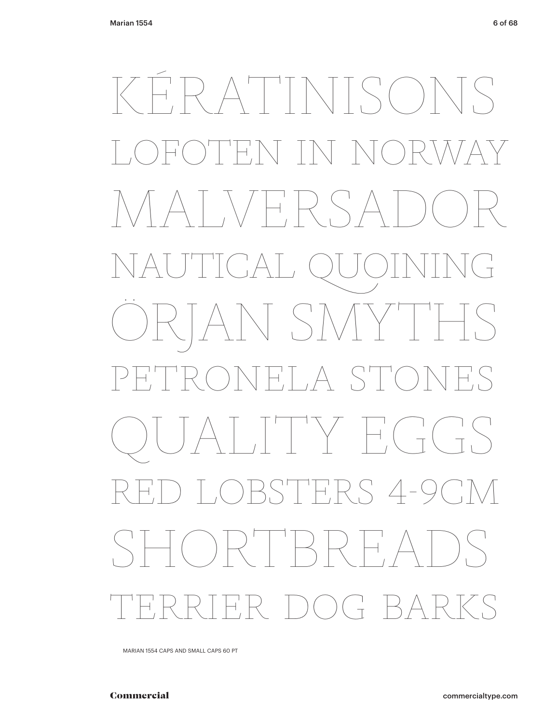# KÉRATINISONS  $H$   $\setminus$   $\setminus$   $\setminus$   $\setminus$  $\wedge$  MP,  $\vee$  S/ NAUTICAL QUOINING ÖRJAN SMYTHS PETRONELA STONES  $\begin{array}{cc} \begin{array}{cc} \begin{array}{cc} \begin{array}{cc} \end{array} & \end{array} & \begin{array}{cc} \end{array} & \end{array} & \begin{array}{cc} \end{array} & \begin{array}{cc} \end{array} & \end{array} & \begin{array}{cc} \end{array} & \begin{array}{cc} \end{array} & \end{array} & \begin{array}{cc} \end{array} & \begin{array}{cc} \end{array} & \begin{array}{cc} \end{array} & \end{array} \end{array}$ STERS 4-9 RH.  $R = D(0)$ (†  $B$

MARIAN 1554 CAPS AND SMALL CAPS 60 PT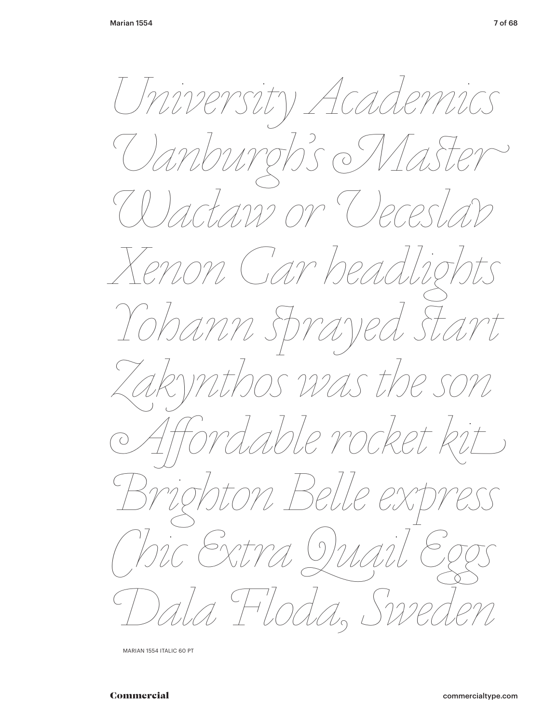University Academics  $\bigcup_{\mathcal{C}}$  $\overline{O}$  $2720$  $7122$  Or ( ) PCL 20n Car bel Iohann sp raye mas the son uble rocke.  $ONL$ Bel.  $\bigcirc$ Sxtra a Hlodi

MARIAN 1554 ITALIC 60 PT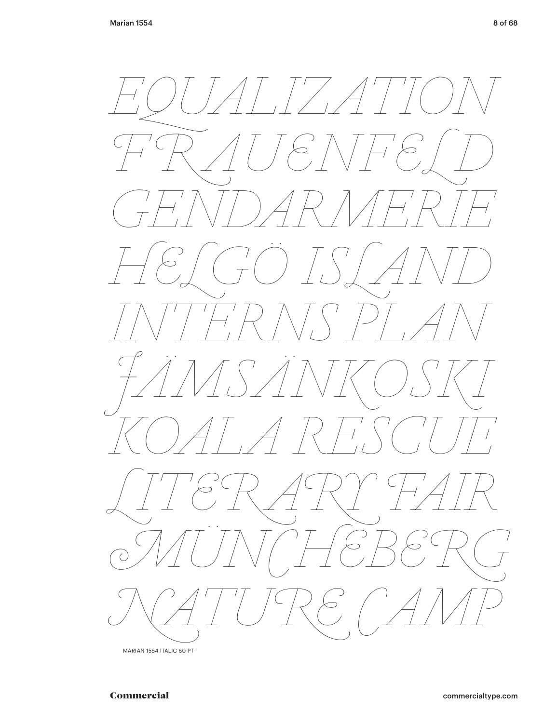

MARIAN 1554 ITALIC 60 PT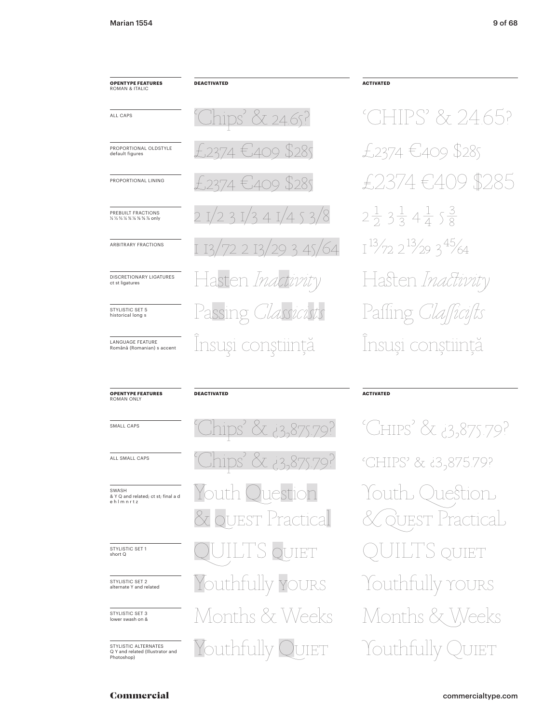#### **OPENTYPE FEATURES** ROMAN & ITALIC

PROPORTIONAL OLDSTYLE

PROPORTIONAL LINING

PREBUILT FRACTIONS

1/2 1/2 3/2 3/2 3/2 3/2 3/2 8 0 mlv

ARBITRARY FRACTIONS

DISCRETIONARY LIGATURES

ct st ligatures

STYLISTIC SET 5

historical long s

LANGUAGE FEATURE

Română (Romanian) s accent

ALL CAPS

default figures

**DEACTIVATED** 

X 24.65? 11DS<sup>'</sup>  $ACO$ \$285  $\pm$  409  $2371$  $31/341/453/8$  $29345/64$  $2I3$ asten *Ina* Passing Insuși conștiință

# **ACTIVATED**

HPS' & 24.65? £2374 €409 \$285 \$285  $\in$   $\mathcal{A}$  $2\frac{1}{2}$   $3\frac{1}{3}$   $4\frac{1}{4}$   $5\frac{3}{8}$  $1^{13}/72$   $2^{13}/29$   $3^{45}/64$ Hasten Inactivity Paffing Insuși conștiință

#### **OPENTYPE FEATURES ROMAN ONL'**

SMALL CAPS

ALL SMALL CAPS

# SWASH & Y Q and related; ct st; final a d<br>e h I m n r t z

STYLISTIC SET 1<br>short Q

STYLISTIC SET 2 alternate Y and related

STYLISTIC SET 3<br>lower swash on &

STYLISTIC ALTERNATES Q Y and related (Illustrator and<br>Photoshop)

# **DEACTIVATED**

23,875.79? puth Ouestion Y. uest Practical UIET Youthfully YOURS Months & Weeks Youthfully Quiet

# **ACTIVATED**

'CHIPS' & 13,875.79? 'CHIPS' & i3,875.79? uestion louth, ( **JEST** 'ractical J OUIET Youthtully YOURS Months & 1 Veeks Youthfully **JIET**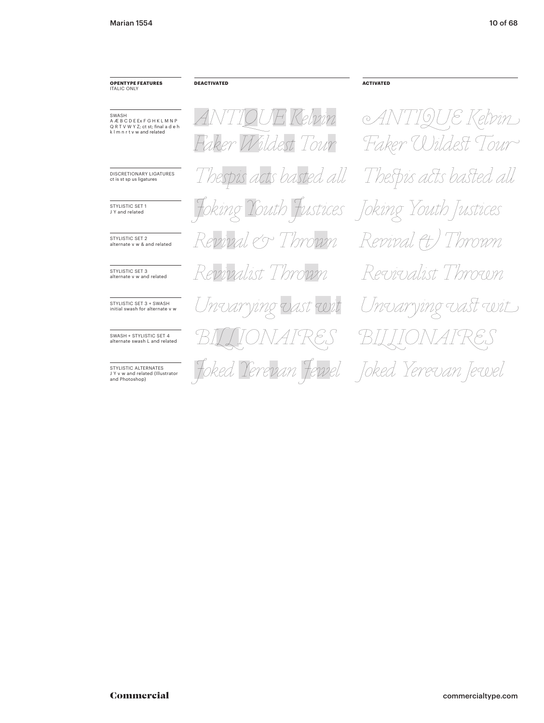#### **OPENTYPE FEATURES ITALIC ONLY**

**DEACTIVATED** 

—<br>SWASH<br>A Æ B C D E Ex F G H K L M N P<br>Q R T V W Y Z; ct st; final a d e h<br>k l m n r t v w and related

DISCRETIONARY LIGATURES ct is st sp us ligatures

STYLISTIC SET 1 J Y and related

STYLISTIC SET 2 alternate v w & and related

STYLISTIC SET 3<br>alternate v w and related

STYLISTIC SET 3 + SWASH initial swash for alternate v w

SWASH + STYLISTIC SET 4 alternate swash L and related

STYLISTIC ALTERNATES JY v w and related (Illustrator<br>and Photoshop)

TIOUE Kelvin AN Wildest Tour ber Thespis acts basted all king Ro Thrown 222221 Revivalist Thrown Unvarying vast wit revan Fewel

**ACTIVATED** 

ANTIQUE Kelvin Faker Wildest Tour Thespis acts basted all Youth Justices Joking Youth Justices Revival (t) Thrown Revivalist Thrown 'nvarying vast wit Joked 'erevan |ewel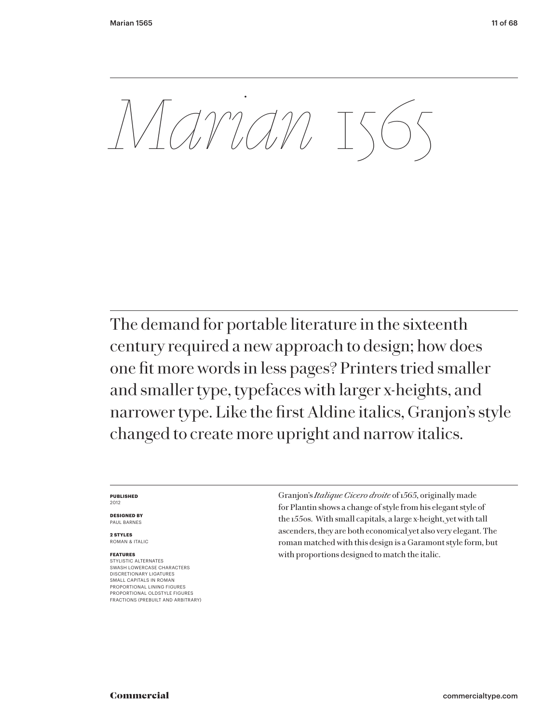*Marian* 1565

The demand for portable literature in the sixteenth century required a new approach to design; how does one fit more words in less pages? Printers tried smaller and smaller type, typefaces with larger x-heights, and narrower type. Like the first Aldine italics, Granjon's style changed to create more upright and narrow italics.

#### **PUBLISHED** 2012

**DESIGNED BY** PAUL BARNES

**2 STYLES** ROMAN & ITALIC

## **FEATURES**

STYLISTIC ALTERNATES SWASH LOWERCASE CHARACTERS DISCRETIONARY LIGATURES SMALL CAPITALS IN ROMAN PROPORTIONAL LINING FIGURES PROPORTIONAL OLDSTYLE FIGURES FRACTIONS (PREBUILT AND ARBITRARY) Granjon's *Italique Cicero droite* of 1565, originally made for Plantin shows a change of style from his elegant style of the 1550s. With small capitals, a large x-height, yet with tall ascenders, they are both economical yet also very elegant. The roman matched with this design is a Garamont style form, but with proportions designed to match the italic.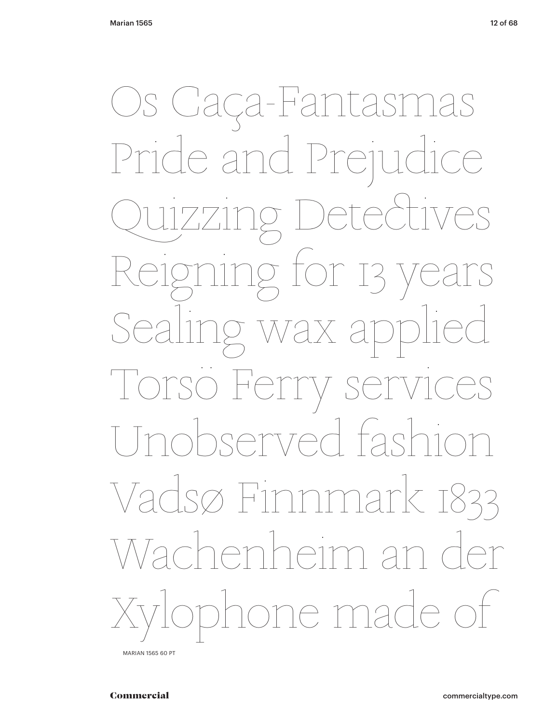Os Caça-Fantasmas Pride and Prejudice  $\bigcap_{i=1}^n$ g for 13 wax a  $Fer$ V Ser  $\int$ ISAMTAA  $\left| \begin{array}{c} \fbox{f} \\ \hbox{f} \end{array} \right|$  $m$ Vadsø Finnmar K T833 *Jachenheim a* one made of

MARIAN 1565 60 PT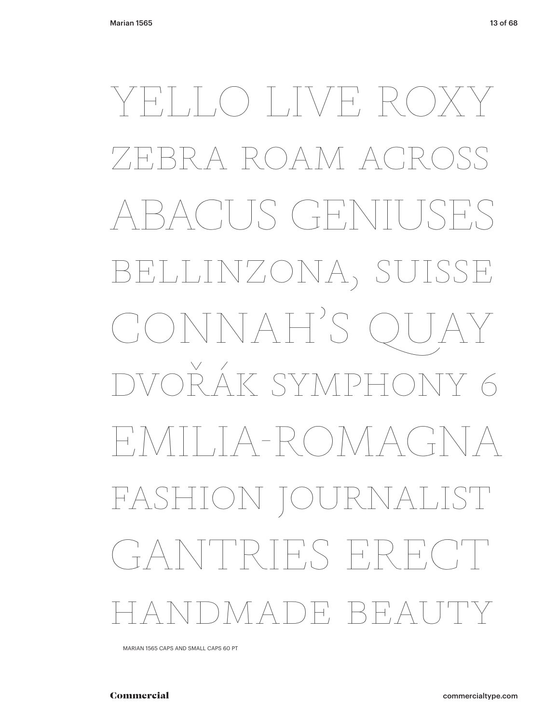YELLO LIVE RO RA ROAM AC ACUS GENIUSES BELLINZONA, SUISSE CONNAH'S QUAY<br>DVOŘÁK SYMPHONY 6 EMILIA-ROMAGNA FASHION JOURNALIST GANTRIES ERECT HANDMADE BEAUTY

MARIAN 1565 CAPS AND SMALL CAPS 60 PT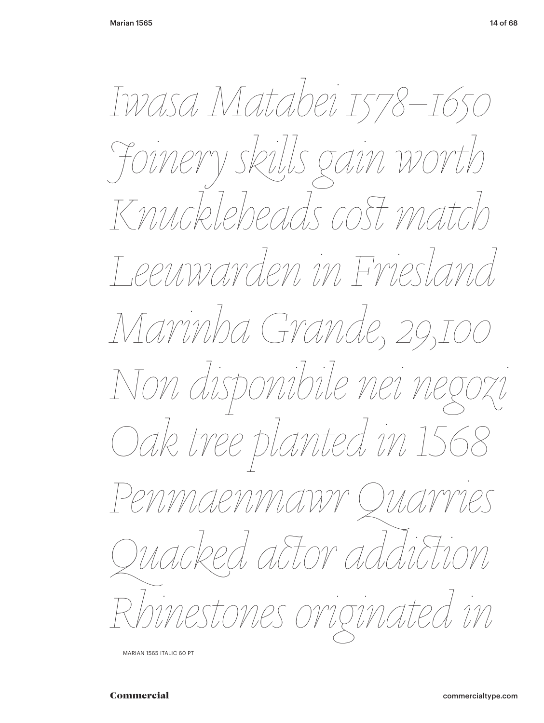Iwasa Matabei 1578–1650 Foinery skills gain worth Knuckleheads cost match Leeuwarden in Friesland Marinha Grande, 29,1 Non disponibile nei negozi Oak tree planted in 156 Penmaenmawr Quarries uacked actor addiction inestones originated in

MARIAN 1565 ITALIC 60 PT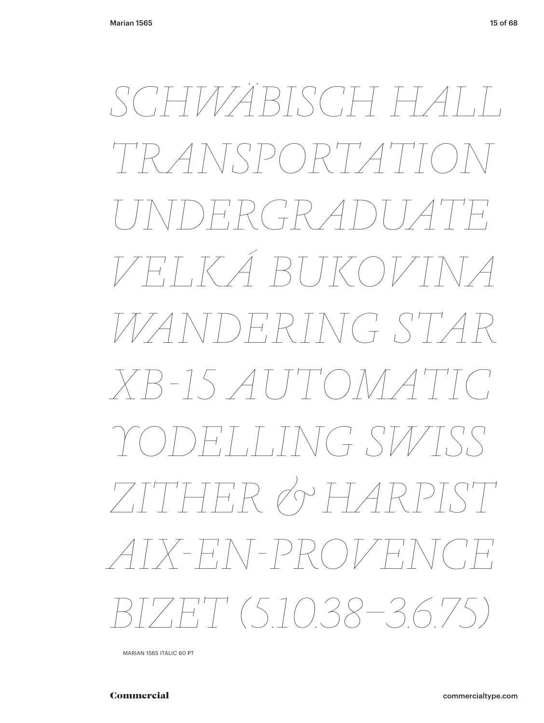*SCHWÄBISCH HALL TRANSPORTATION UNDERGRADUATE VELKÁ BUKOVINA WANDERING STAR XB-15 AUTOMATIC YODELLING SWISS ZITHER & HARPIST AIX-EN-PROVENCE BIZET (5.10.38–3.6.75)*

MARIAN 1565 ITALIC 60 PT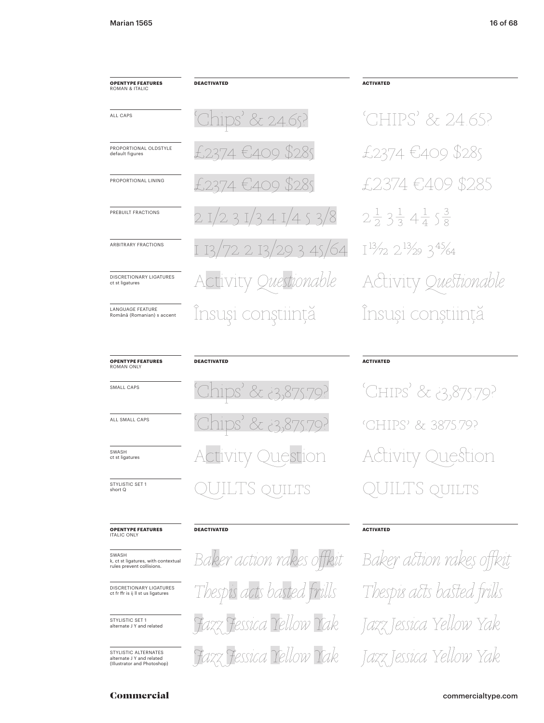ROMAN & ITALIC

ALL CAPS

default figures

# **DEACTIVATED OPENTYPE FEATURES**  $\overline{\text{lips}}'$ & 24.65? PROPORTIONAL OLDSTYLE 374 €409 \$28s PROPORTIONAL LINING \$2.85  $4\in 400$ PREBUILT FRACTIONS  $/453/8$ 3  $\overline{\mathcal{L}}$  $\mathbb{I}$  $29345/64$ ARBITRARY FRACTIONS  $2I3$ DISCRETIONARY LIGATURES Questionable VItV **LANGUAGE EFATURE** Insuși conștiință Română (Romanian) s accent

# 'CHIPS' & 24.65? £2374 €409 \$285 74 €409. -\$285  $2\frac{1}{2}3\frac{1}{3}4\frac{1}{4}5\frac{3}{8}$  $I^{13}/72$   $2^{13}/29$   $3^{45}/64$ Activity Questionable Insuși conștiință

**OPENTYPE FEATURES**<br>ROMAN ONLY

SMALL CAPS

ct st ligatures

ALL SMALL CAPS

SWASH ct st ligatures

STYLISTIC SET 1 short Q

# **OPENTYPE FEATURES**<br>ITALIC ONLY

SWASH k, ct st ligatures, with contextual<br>rules prevent collisions.

DISCRETIONARY LIGATURES<br>ct fr ffr is ij II st us ligatures

STYLISTIC SET 1 alternate J Y and related

STYLISTIC ALTERNATES alternate J Y and related<br>(Illustrator and Photoshop)

# **DEACTIVATED**

& 23.875 875. nsi  $-2$ VITV )uestion <u>'S</u> OUILTS

# **DEACTIVATED**

Baker action rakes offkit Thespis acts basted frills Fessica Tellow Tak Fazz Fessica Yellow Yak

# **ACTIVATED**

**ACTIVATED** 

'CHIPS' & 3,875.79? 'GHIPS' & 387579? Duestion **IVITV** IS. QUILTS

# **ACTIVATED**

Baker action rakes offkit Thespis acts basted frills Jazz Jessica Yellow Yak Jazz Jessica Yellow Yak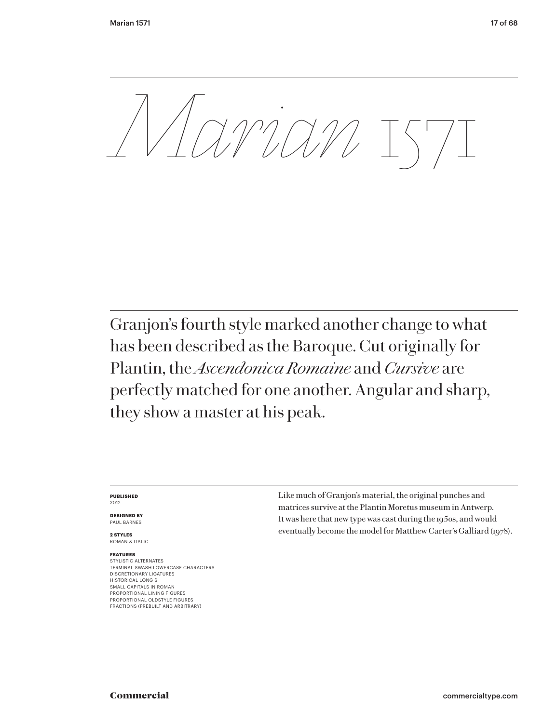*Marian* 1571

Granjon's fourth style marked another change to what has been described as the Baroque. Cut originally for Plantin, the *Ascendonica Romaine* and *Cursive* are perfectly matched for one another. Angular and sharp, they show a master at his peak.

#### **PUBLISHED** 2012

**DESIGNED BY** PAUL BARNES

**2 STYLES** ROMAN & ITALIC

# **FEATURES**

STYLISTIC ALTERNATES TERMINAL SWASH LOWERCASE CHARACTERS DISCRETIONARY LIGATURES HISTORICAL LONG S SMALL CAPITALS IN ROMAN PROPORTIONAL LINING FIGURES PROPORTIONAL OLDSTYLE FIGURES FRACTIONS (PREBUILT AND ARBITRARY)

Like much of Granjon's material, the original punches and matrices survive at the Plantin Moretus museum in Antwerp. It was here that new type was cast during the 1950s, and would eventually become the model for Matthew Carter's Galliard (1978).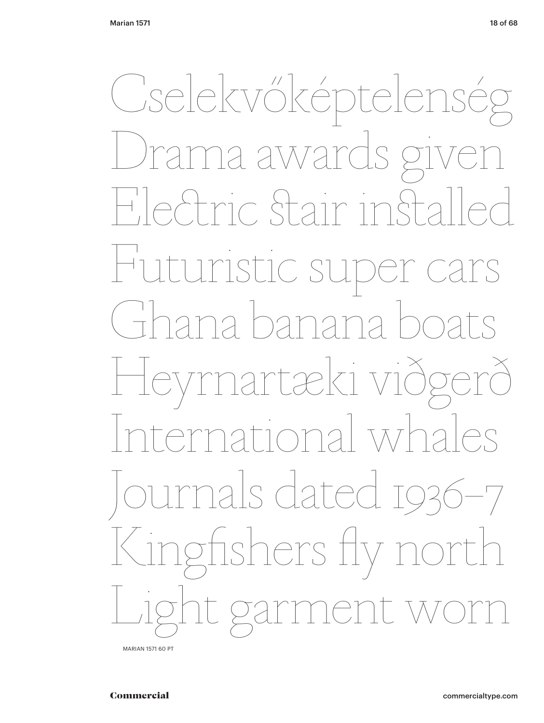Cselekvőképtelenség ls give Drama award Hefric Stair instal Huturistic super ca nana banana Heyrnartæki við ational whal urnals dated 1936–7 Kingfishers fly It gar nent

MARIAN 1571 60 PT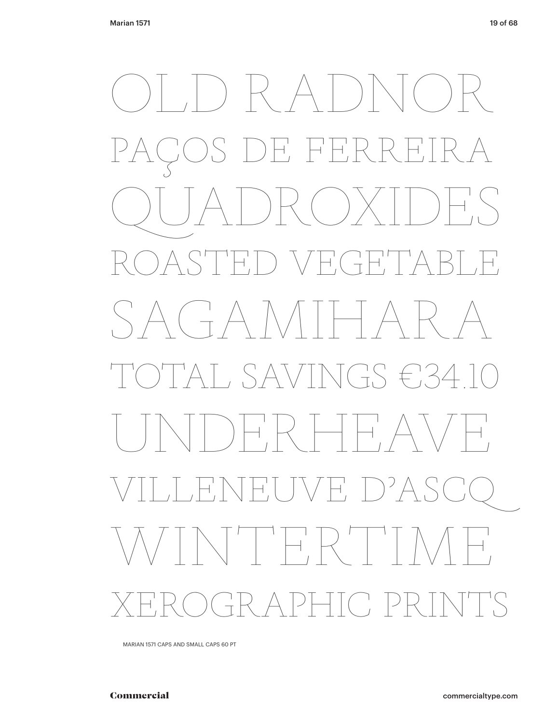) RADNOR E FERRE QUADROXIDES ROASTED VEGETABLE SAGAMIHARA AT, SAVINGS €34 HRHHAVH VILLENEUVE D'ASCQ WINTERTIME XEROGRAPHIC PRINTS

MARIAN 1571 CAPS AND SMALL CAPS 60 PT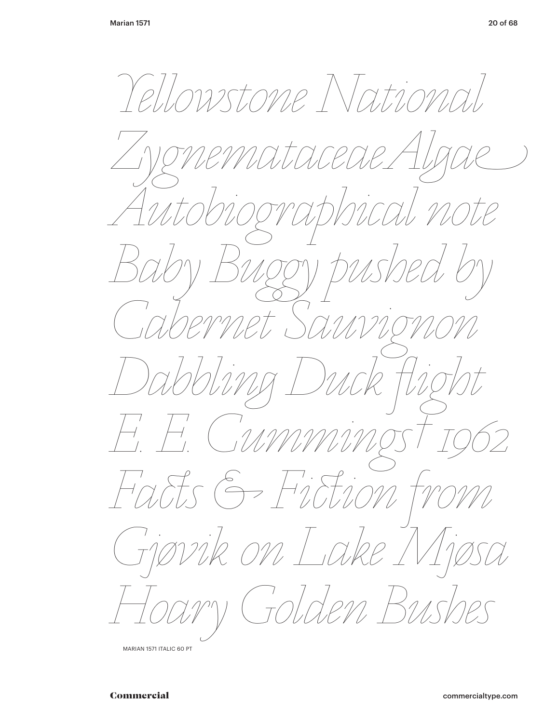Lowstone Nation  $\angle \ell$  $\overline{\mathcal{C}}$  $\begin{array}{c}\n7 \\
\hline\n\end{array}$  $\begin{array}{c} -1 \\ -1 \end{array}$  $\frac{1}{\sqrt{2}}$ LOTS  $\overline{\phantom{a}}$ k on La.  $\gamma$ den 1

MARIAN 1571 ITALIC 60 PT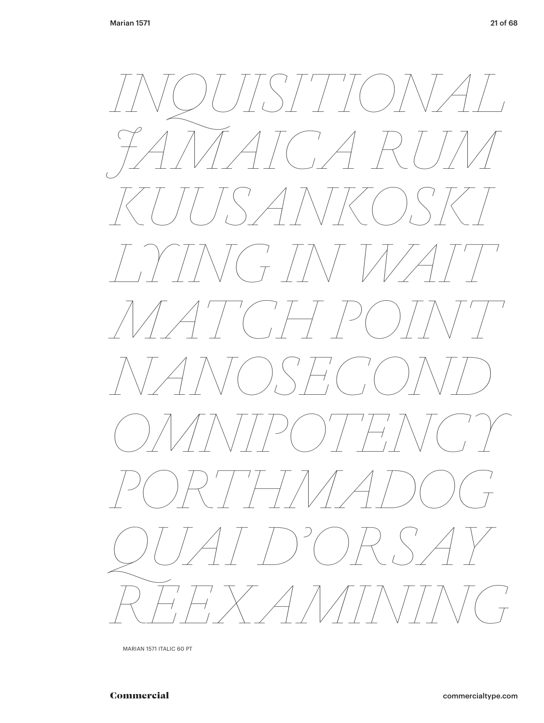

MARIAN 1571 ITALIC 60 PT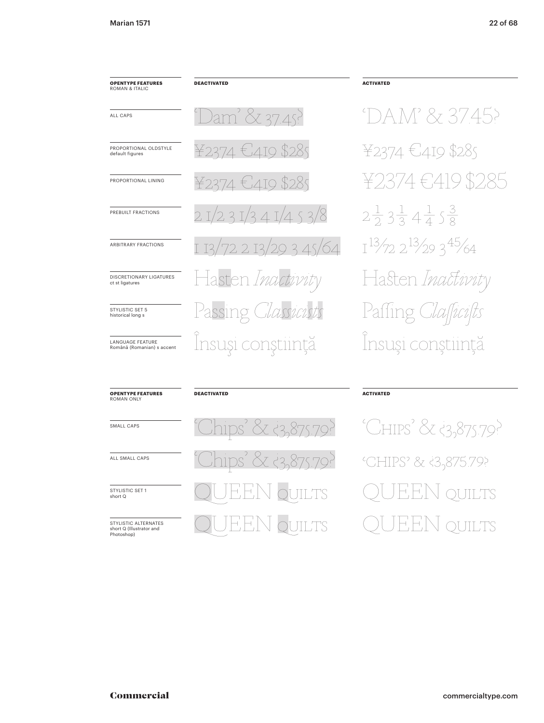# **OPENTYPE FEATURES**<br>ROMAN & ITALIC **DEACTIVATED** am' & 37.45? ALL CAPS PROPORTIONAL OLDSTYLE ¥ 2374 €'419 \$28s default figures 374 €4то \$28ѕ PROPORTIONAL LINING  $31/341/453/8$ PREBUILT FRACTIONS  $29345/64$ ARBITRARY FRACTIONS  $2.13$ DISCRETIONARY LIGATURES sten *1na* ct st ligatures Passing zists STYLISTIC SET 5 historical long s Insuși conștiință LANGUAGE FEATURE Română (Romanian) s accent

### **ACTIVATED**

DAM' & 37.45? ¥2374 €419 \$285 €419 \$285  $2\frac{1}{2}3\frac{1}{3}4\frac{1}{4}5\frac{3}{8}$  $1^{13}/72$   $2^{13}/29$   $3^{45}/64$ Hasten Inactivity Paffing Iallicilts Insuși conștiință

#### **OPENTYPE FEATURES** ROMAN ONLY

SMALL CAPS

ALL SMALL CAPS

STYLISTIC SET 1 short Q

STYLISTIC ALTERNATES<br>short Q (Illustrator and Photoshop)

### **DEACTIVATED**

![](_page_21_Figure_11.jpeg)

# **ACTIVATED**

'CHIPS' & 3,875.79? *CHIPS*' & 33,875.79? **OUILTS JILTS**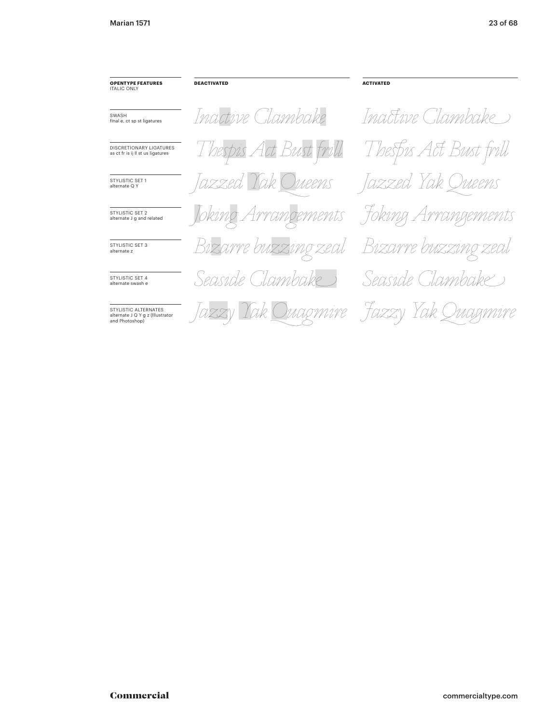| <b>OPENTYPE FEATURES</b><br><b>ITALIC ONLY</b>                             | <b>DEACTIVATED</b>                        | <b>ACTIVATED</b>       |
|----------------------------------------------------------------------------|-------------------------------------------|------------------------|
| SWASH<br>final e, ct sp st ligatures                                       | Inactive Clambake                         | Inactive Clambake      |
| <b>DISCRETIONARY LIGATURES</b><br>as ct fr is ij II st us ligatures        | Thespis Act Bust frill                    | Thespis Act Bust frill |
| <b>STYLISTIC SET 1</b><br>alternate Q Y                                    | Jazzed Yak Oueens                         | Jazzed Yak Queens      |
| STYLISTIC SET 2<br>alternate J g and related                               | Joking Arrangements                       | Foking Arrangements    |
| STYLISTIC SFT 3<br>alternate z                                             | Bizarre buzzing zeal Bizarre buzzing zeal |                        |
| STYLISTIC SFT 4<br>alternate swash e                                       | Seaside Clambake                          | Seaside Clambake       |
| STYLISTIC ALTERNATES<br>alternate J Q Y g z (Illustrator<br>and Photoshop) | Jazzy Yak Quagmire Fazzy Yak Quagmire     |                        |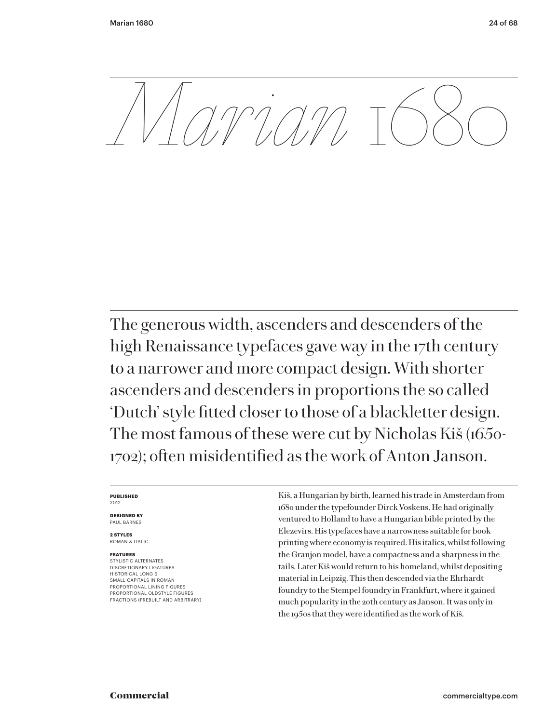*Marian* 1680

The generous width, ascenders and descenders of the high Renaissance typefaces gave way in the 17th century to a narrower and more compact design. With shorter ascenders and descenders in proportions the so called 'Dutch' style fitted closer to those of a blackletter design. The most famous of these were cut by Nicholas Kiš (1650- 1702); often misidentified as the work of Anton Janson.

#### **PUBLISHED** 2012

**DESIGNED BY** PAUL BARNES

**2 STYLES** ROMAN & ITALIC

# **FEATURES**

STYLISTIC ALTERNATES DISCRETIONARY LIGATURES HISTORICAL LONG S SMALL CAPITALS IN ROMAN PROPORTIONAL LINING FIGURES PROPORTIONAL OLDSTYLE FIGURES FRACTIONS (PREBUILT AND ARBITRARY) Kiš, a Hungarian by birth, learned his trade in Amsterdam from 1680 under the typefounder Dirck Voskens. He had originally ventured to Holland to have a Hungarian bible printed by the Elezevirs. His typefaces have a narrowness suitable for book printing where economy is required. His italics, whilst following the Granjon model, have a compactness and a sharpness in the tails. Later Kiš would return to his homeland, whilst depositing material in Leipzig. This then descended via the Ehrhardt foundry to the Stempel foundry in Frankfurt, where it gained much popularity in the 20th century as Janson. It was only in the 1950s that they were identified as the work of Kiš.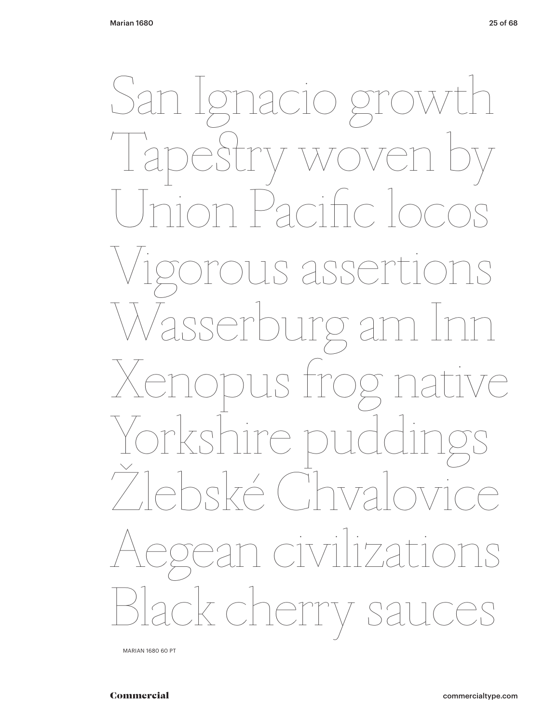![](_page_24_Picture_2.jpeg)

MARIAN 1680 60 PT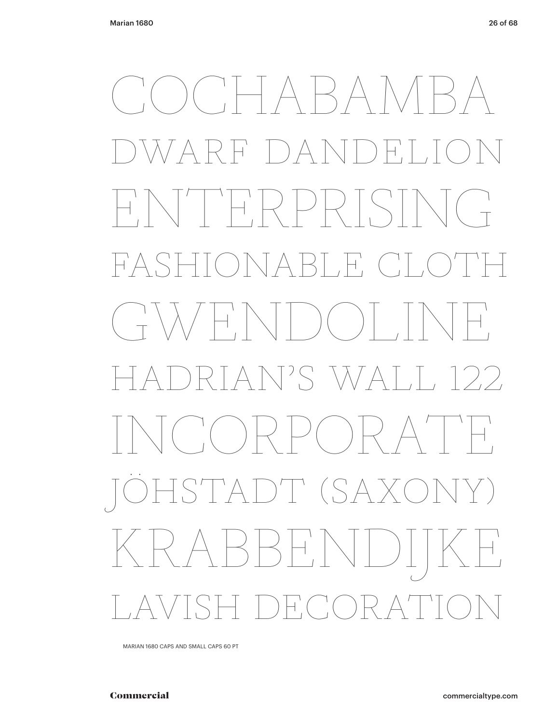COCHABAMBA DWARF DANDELION ENTERPRISING FASHIONABLE CLOTH  $(\begin{array}{c} \uparrow \\ \uparrow \end{array})$   $(\begin{array}{c} \uparrow \\ \uparrow \end{array})$   $(\begin{array}{c} \uparrow \\ \uparrow \end{array})$ HADRIAN'S WALL 122 INCORPORATE HSTADT (SAX RARAHIN LAVISH DECORATION

MARIAN 1680 CAPS AND SMALL CAPS 60 PT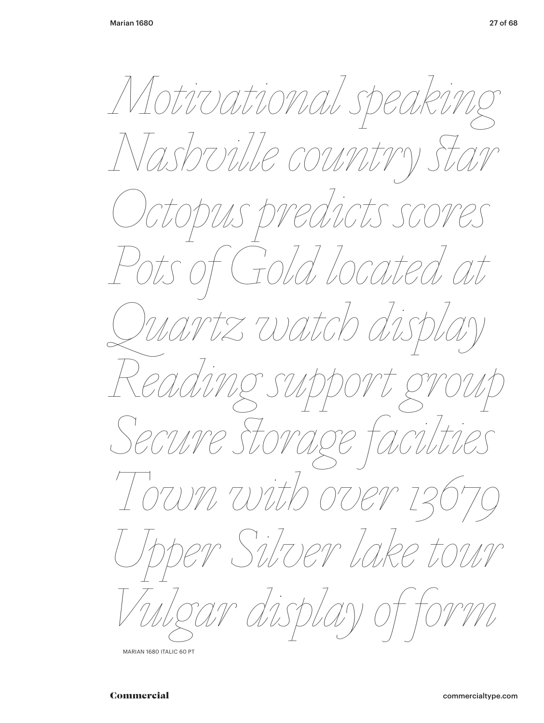*Motivational speaking Nashville country !ar Octopus predicts scores Pots of Gold located at Quartz watch display Reading support group Secure !orage facilties Town with over 13679 Upper Silver lake tour Vulgar display of form*

MARIAN 1680 ITALIC 60 PT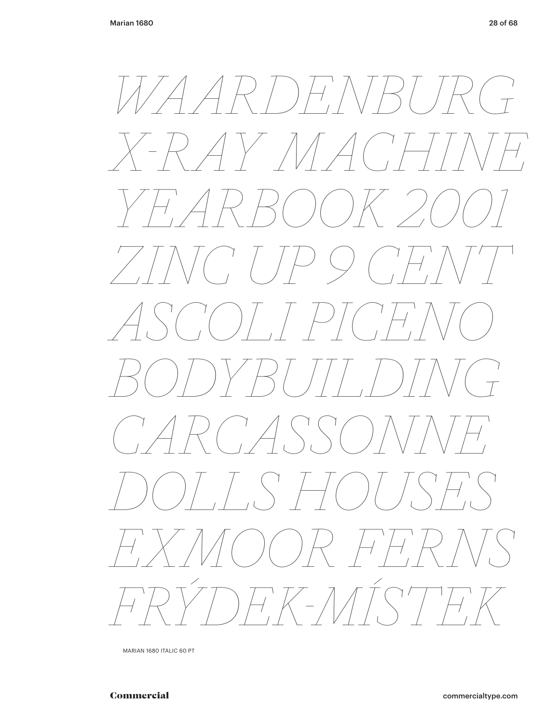![](_page_27_Picture_2.jpeg)

MARIAN 1680 ITALIC 60 PT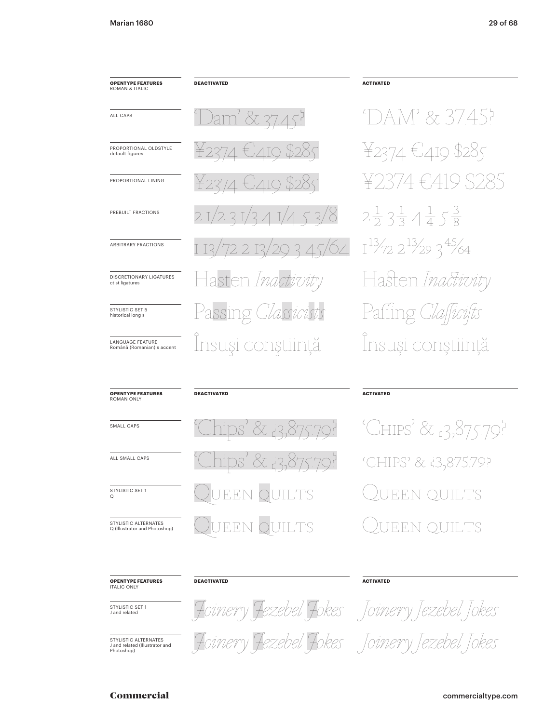#### **OPENTYPE FEATURES** ROMAN & ITALIC

PROPORTIONAL OLDSTYLE default figures

PROPORTIONAL LINING

PREBUILT FRACTIONS

ARBITRARY FRACTIONS

DISCRETIONARY LIGATURES

ct st ligatures

STYLISTIC SET 5

historical long s

LANGUAGE FEATURE

Română (Romanian) s accent

ALL CAPS

**DEACTIVATED** 

37.45? ′8 45/64  $\mathbb{R}$ sten *Ina* Passi .<br>M  $\mathbb{D}^{\mathcal{O}}$ Insuși conștiință

# **ACTIVATED**

DAM' & 37.45? ¥2374 €419 \$285  $(419)$ \$285  $2\frac{1}{2}3\frac{1}{3}4\frac{1}{4}5\frac{3}{8}$  $1^{13}/72$   $2^{13}/29$   $3^{45}/64$ Hasten Inactivity Paffing Insuși conștiință

#### **OPENTYPE FEATURES ROMAN ONL'**

SMALL CAPS

ALL SMALL CAPS

STYLISTIC SET 1  $\tilde{\circ}$ 

STYLISTIC ALTERNATES Q (Illustrator and Photoshop)

# **DEACTIVATED**

**DEACTIVATED** 

![](_page_28_Figure_13.jpeg)

### **ACTIVATED**

'CHIPS' & 13,875.79? 'CHIPS' & i3,875.79? EEN OUILTS EEN OUILTS

#### **OPENTYPE FEATURES ITALIC ONLY**

STYLISTIC SET 1 J and related

STYLISTIC ALTERNATES J and related (Illustrator and<br>Photoshop)

![](_page_28_Picture_19.jpeg)

**ACTIVATED** 

lokes Tokes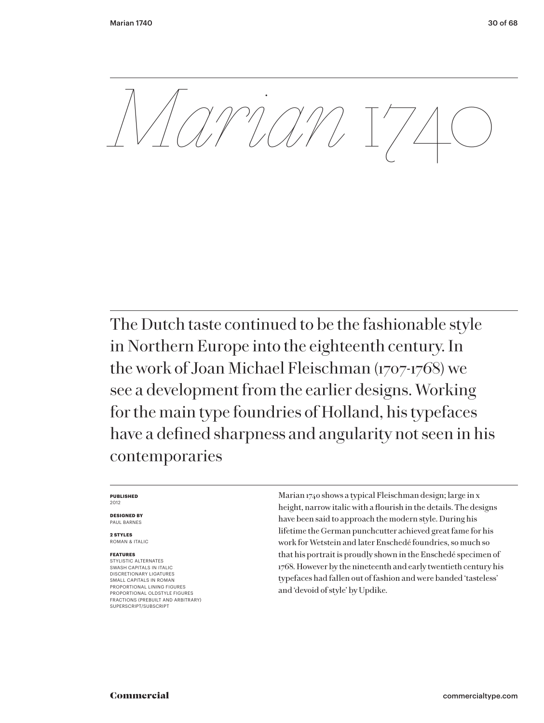*Marian* 1740

The Dutch taste continued to be the fashionable style in Northern Europe into the eighteenth century. In the work of Joan Michael Fleischman (1707-1768) we see a development from the earlier designs. Working for the main type foundries of Holland, his typefaces have a defined sharpness and angularity not seen in his contemporaries

#### **PUBLISHED** 2012

**DESIGNED BY** PAUL BARNES

**2 STYLES** ROMAN & ITALIC

# **FEATURES**

STYLISTIC ALTERNATES SWASH CAPITALS IN ITALIC DISCRETIONARY LIGATURES SMALL CAPITALS IN ROMAN PROPORTIONAL LINING FIGURES PROPORTIONAL OLDSTYLE FIGURES FRACTIONS (PREBUILT AND ARBITRARY) SUPERSCRIPT/SUBSCRIPT

Marian 1740 shows a typical Fleischman design; large in x height, narrow italic with a flourish in the details. The designs have been said to approach the modern style. During his lifetime the German punchcutter achieved great fame for his work for Wetstein and later Enschedé foundries, so much so that his portrait is proudly shown in the Enschedé specimen of 1768. However by the nineteenth and early twentieth century his typefaces had fallen out of fashion and were banded 'tasteless' and 'devoid of style' by Updike.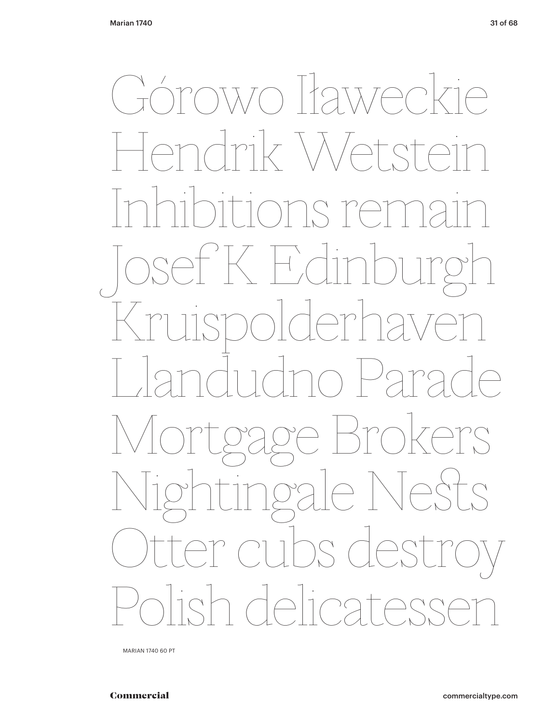$\bigcap_{i=1}^{n}$ OWO Itawe  $\bigcirc$  $\bigcap$  $\overline{r}$  $\subset$  $\overline{\mathcal{L}}$  $\bigcap$  $\big($  $\bigcirc$  $\bigcap$  $\bigwedge_{\mathcal{C}}$  $\sum$  $\zeta$  $\sum$  $\frac{1}{2}$  $\frac{1}{1}$  $\Box$  $\bigcap_{\mathcal{L}}$  $\sqrt{2}$ 

MARIAN 1740 60 PT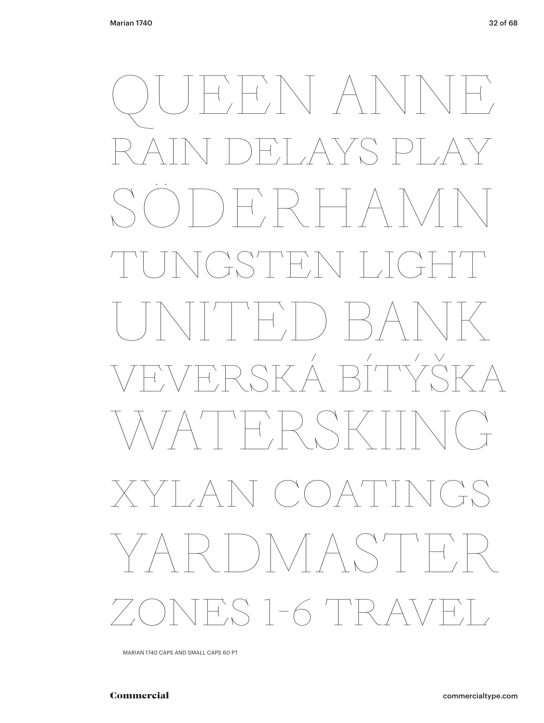QUEEN ANNE FLAYS PI SÖDERHAMN TUNGSTEN LIGHT UNITED BANK VEVERSKÁ BÍTÝŠKA  $A' \mid \vdash \vdash A \rhd \vdash$  $A\setminus C$  (  $A$ YARDMASTER 7.S 1-6 TR A

MARIAN 1740 CAPS AND SMALL CAPS 60 PT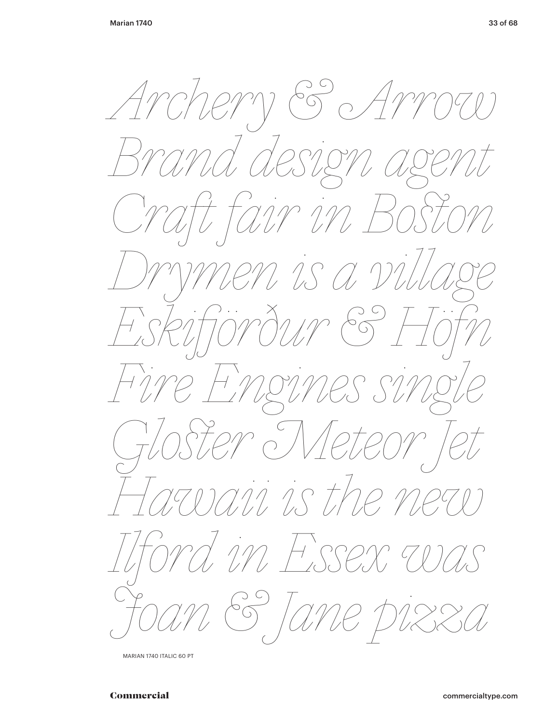$\mathcal{E}$ rem  $\sqrt{\frac{2}{\pi}}$  $\frac{1}{2}$  $\mathcal{X}$  $\frac{1}{2}$  $\bigcirc$  $\int$ J<br>S M IS A I  $\frac{1}{2}$ -<br>/( in HSSE Ć,  $\mathcal{U}$  $5\frac{1}{2}$  $\bigcirc$ 

MARIAN 1740 ITALIC 60 PT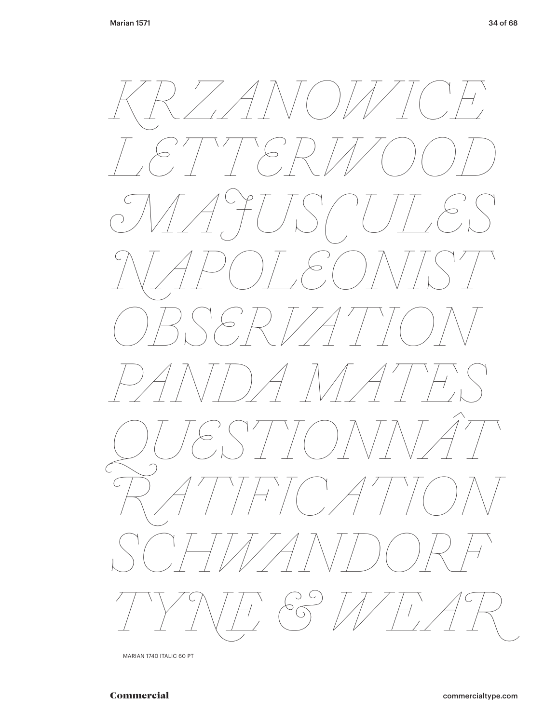![](_page_33_Picture_2.jpeg)

MARIAN 1740 ITALIC 60 PT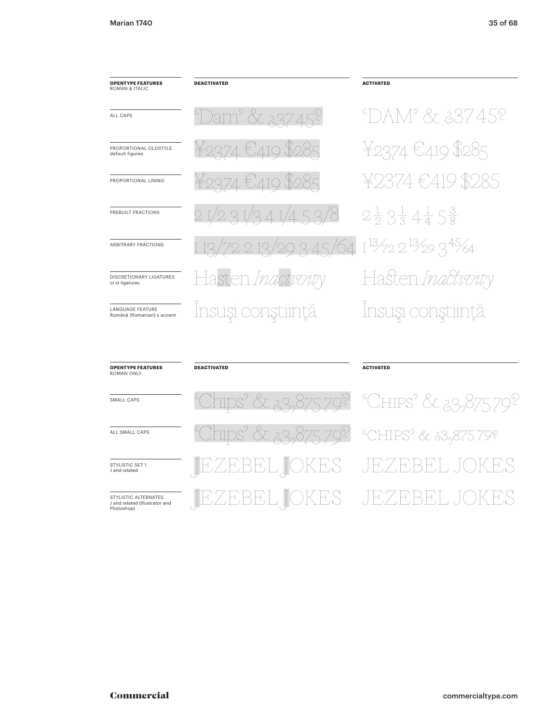| <b>OPENTYPE FEATURES</b><br><b>ROMAN &amp; ITALIC</b> | <b>DEACTIVATED</b>        | <b>ACTIVATED</b>                                   |
|-------------------------------------------------------|---------------------------|----------------------------------------------------|
| ALL CAPS                                              | <u>Dam' &amp; 237.45?</u> | °DAM' & 337.45?                                    |
| PROPORTIONAL OLDSTYLE<br>default figures              | ¥2374 €419 \$285          | ¥2374 €419 \$285                                   |
| PROPORTIONAL LINING                                   | ¥2374 €419 \$285          | ¥2374€419 \$285                                    |
| PREBUILT FRACTIONS                                    | 21/231/341/453/8          | $2\frac{1}{2}3\frac{1}{3}4\frac{1}{4}5\frac{3}{8}$ |
| ARBITRARY FRACTIONS                                   | 1 13/72 2 13/29 3 45/64   | $1^{13}/722^{13}/293^{45}/64$                      |
| DISCRETIONARY LIGATURES<br>ct st ligatures            | Hasten Inactivity         | Hasten <i>Inactivity</i>                           |
| <b>LANGUAGE FEATURE</b><br>Română (Romanian) s accent | Însuşi conştiință         | Însuși conștiință                                  |

| <b>OPENTYPE FEATURES</b><br>ROMAN ONLY                               | <b>DEACTIVATED</b>                                    | <b>ACTIVATED</b>                                         |
|----------------------------------------------------------------------|-------------------------------------------------------|----------------------------------------------------------|
| SMALL CAPS                                                           |                                                       | <u>"Chips" &amp; 23,875.79? "CHIPS" &amp; 23,875.79?</u> |
| ALL SMALL CAPS                                                       | <u> "Chips" &amp; 23,875.79?</u> "CHIPS" & 23,875.79? |                                                          |
| STYLISTIC SFT 1<br>I and related                                     | JEZEBEL JOKES JEZEBEL JOKES                           |                                                          |
| STYLISTIC ALTERNATES<br>J and related (Illustrator and<br>Photoshop) |                                                       | EL TOKES - JEZEBEL JOK                                   |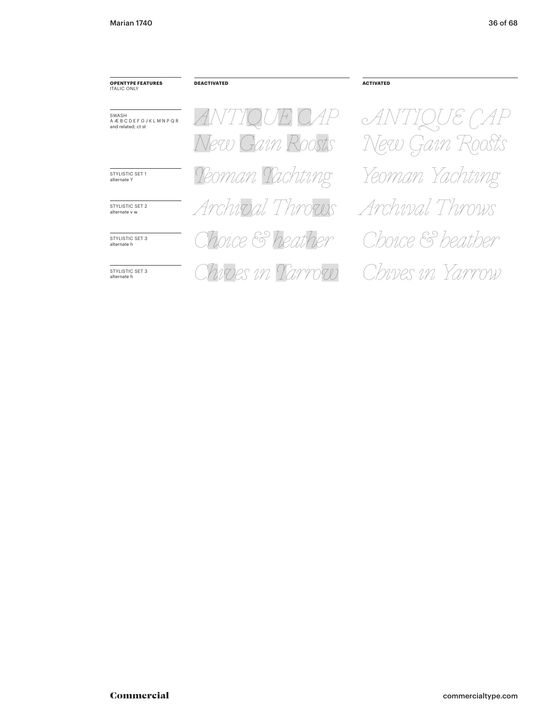#### **OPENTYPE FEATURES ITALIC ONLY**

**DEACTIVATED** 

SWASH<br>A Æ B C D E F G J K L M N P Q R<br>and related; ct st

STYLISTIC SET 1 alternate Y

STYLISTIC SET 2 alternate v w

STYLISTIC SET 3<br>alternate h

STYLISTIC SET 3 alternate h

ANTIQUE CAP New Gain Roosts Teoman Tachting Archival Throws hoice & heather Chives in Tarrow

 $AN$  $\left(\begin{matrix} 2 \\ 1 \end{matrix}\right)$ New Gain Roosts Yeoman Yachting Archival Throws Choice & heather Chives in Yarrow

**ACTIVATED**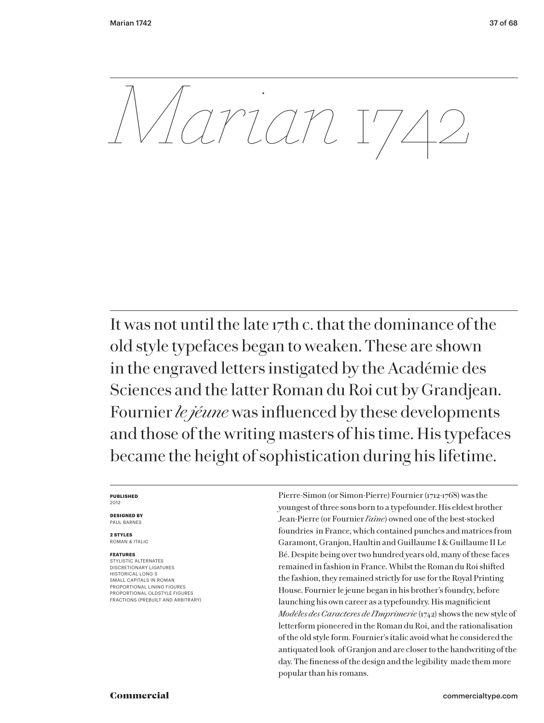*Marian* 1742

It was not until the late 17th c. that the dominance of the old style typefaces began to weaken. These are shown in the engraved letters instigated by the Académie des Sciences and the latter Roman du Roi cut by Grandjean. Fournier *le jéune* was influenced by these developments and those of the writing masters of his time. His typefaces became the height of sophistication during his lifetime.

#### **PUBLISHED** 2012

**DESIGNED BY** PAUL BARNES

**2 STYLES** ROMAN & ITALIC

### **FEATURES**

STYLISTIC ALTERNATES DISCRETIONARY LIGATURES HISTORICAL LONG S SMALL CAPITALS IN ROMAN PROPORTIONAL LINING FIGURES PROPORTIONAL OLDSTYLE FIGURES FRACTIONS (PREBUILT AND ARBITRARY) Pierre-Simon (or Simon-Pierre) Fournier (1712-1768) was the youngest of three sons born to a typefounder. His eldest brother Jean-Pierre (or Fournier *l'aîne*) owned one of the best-stocked foundries in France, which contained punches and matrices from Garamont, Granjon, Haultin and Guillaume I & Guillaume II Le Bé. Despite being over two hundred years old, many of these faces remained in fashion in France. Whilst the Roman du Roi shifted the fashion, they remained strictly for use for the Royal Printing House. Fournier le jeune began in his brother's foundry, before launching his own career as a typefoundry. His magnificient *Modéles des Caracteres de l'Imprimerie* (1742) shows the new style of letterform pioneered in the Roman du Roi, and the rationalisation of the old style form. Fournier's italic avoid what he considered the antiquated look of Granjon and are closer to the handwriting of the day. The fineness of the design and the legibility made them more popular than his romans.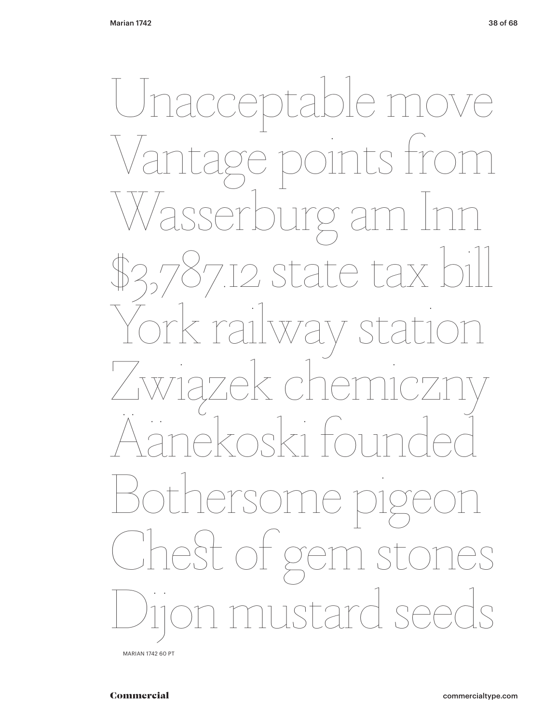Unacceptable move Vantage points from Wasserburg am Inn 7.12 state tax b  $\overline{V}$ av Związek chemiczny zek che.<br>Zodzi foi Bothersome pigeon CheSt of gem stones stard seeds

MARIAN 1742 60 PT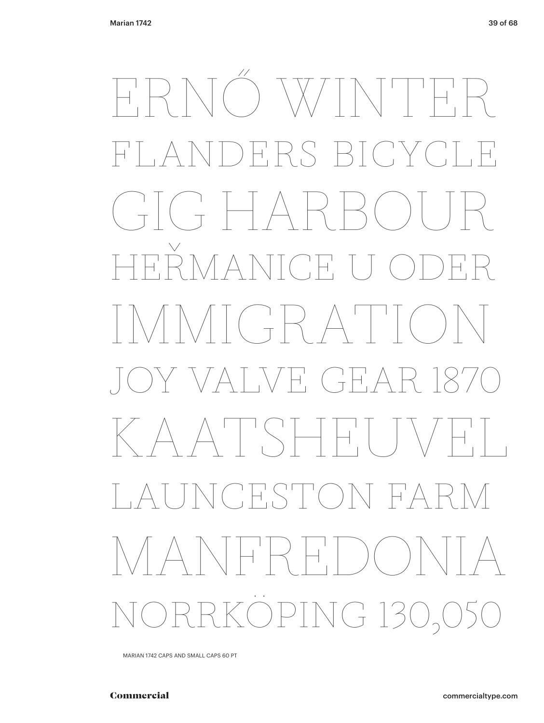# ERNŐ WINTER FLANDERS BICYCLE  $\begin{pmatrix} 1 \\ 1 \end{pmatrix} \begin{pmatrix} 1 \\ 1 \end{pmatrix} \begin{pmatrix} 1 \\ -1 \end{pmatrix}$ HEŘMANICE U ODER  $N<sup>1</sup>$   $($   $\frac{1}{T}$   $\frac{1}{T}$   $\frac{1}{T}$   $\frac{1}{T}$  $\bigvee \vdash'_{\square} \begin{pmatrix} \square \\ \square \end{pmatrix} \vdash'_{\square}$ KAATSHEU LAUNCESTON FARM MANFREDONIA PING 130,050

MARIAN 1742 CAPS AND SMALL CAPS 60 PT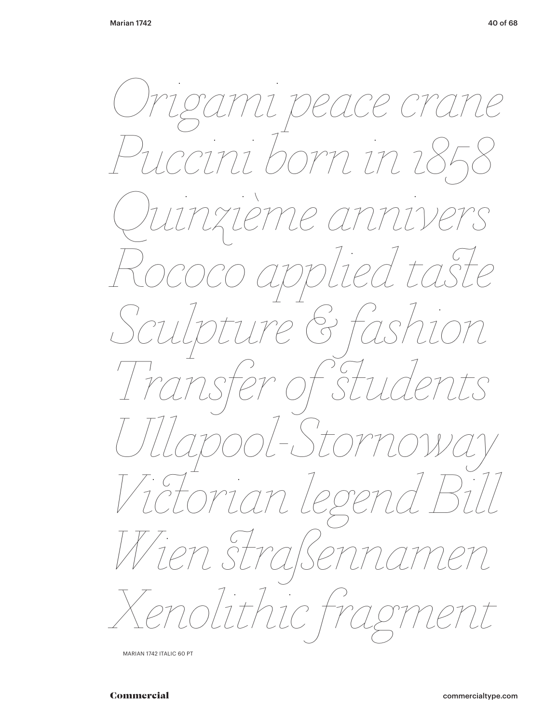reace crat  $2e$ mi p born in z cini  $22$  $27$ ers ed ta.  $17$  $\begin{pmatrix} 1 \\ 0 \end{pmatrix}$  $\overline{\mathcal{C}}$  $\overline{L}$  $\mathcal{V}$  $\sum_{i=1}^{n}$  $\overline{S}$  $\bigcirc$  $C\hspace{-0.1cm}\mathcal{P}$ ege  $\begin{array}{c} C \\ \bigcap \bigcap \end{array}$  $\gamma\gamma$  $\sqrt{2}$  $22C$ oliti  $\label{eq:2} \int \frac{d\mathbf{x}}{d\mathbf{x}}\,d\mathbf{x}$ 

MARIAN 1742 ITALIC 60 PT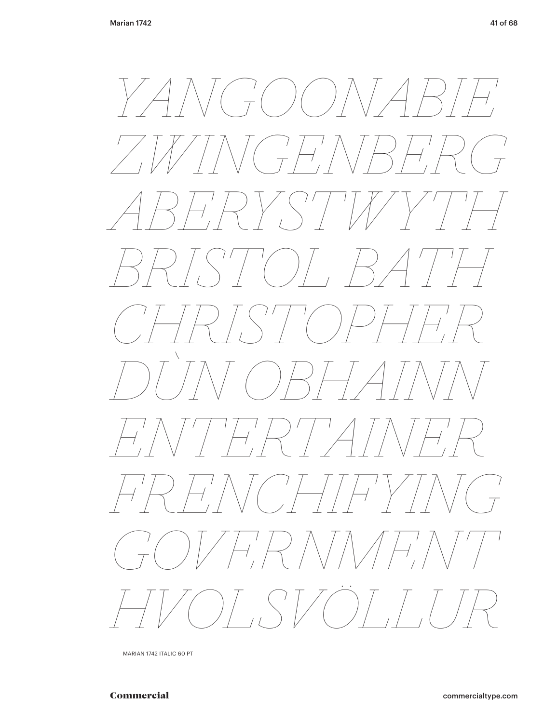![](_page_40_Picture_2.jpeg)

MARIAN 1742 ITALIC 60 PT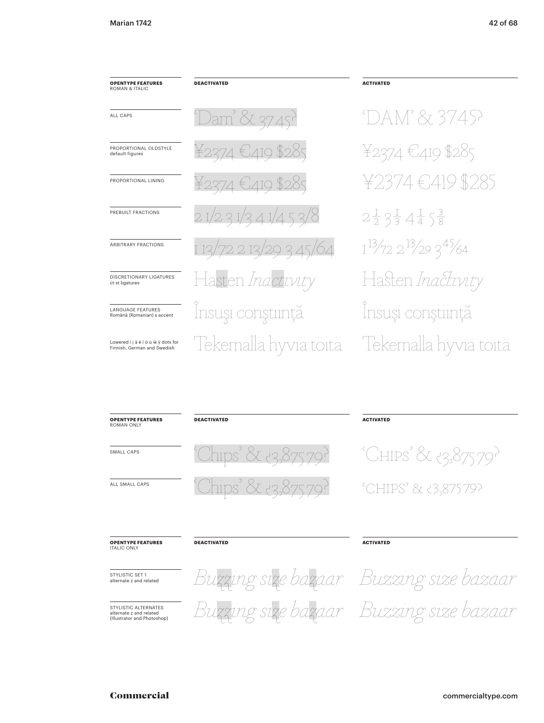| <b>OPENTYPE FEATURES</b><br>ROMAN & ITALIC                        | <b>DEACTIVATED</b>      |
|-------------------------------------------------------------------|-------------------------|
| ALL CAPS                                                          | Dam' & 37.45?           |
| PROPORTIONAL OLDSTYLE<br>default figures                          | ¥2374 €419 \$285        |
| PROPORTIONAL LINING                                               | ¥2374 €419 \$285        |
| PREBUILT FRACTIONS                                                |                         |
| <b>ARBITRARY FRACTIONS</b>                                        | 1 13/72 2 13/29 3 45/64 |
| DISCRETIONARY LIGATURES<br>ct st ligatures                        | Hasten Inactivity       |
| <b>LANGUAGE FEATURES</b><br>Română (Romanian) s accent            | Însuși conștiință       |
| Lowered i j ä ë ï ö ü w ÿ dots for<br>Finnish, German and Swedish | Tekemällä hyviä toita   |

**DEACTIVATED** 

'DAM' & 37.45? ¥2374 €419 \$285 ¥2374 €419 \$285  $2\frac{1}{2}3\frac{1}{3}4\frac{1}{4}5\frac{3}{8}$  $1^{13}/722^{13}/293^{45}/64$ Hasten Inactivity Însuși conștiință Tekemällä hyviä töitä

**ACTIVATED** 

| <b>OPENTYPE FEATURES</b><br><b>ROMAN ONLY</b> | <b>DEACTIVATED</b>    | <b>ACTIVATED</b>       |
|-----------------------------------------------|-----------------------|------------------------|
| SMALL CAPS                                    | 'Chips' & 13,875.79.' | ~ ^CHIPS' & ¿3,875.79. |
| ALL SMALL CAPS                                | Chips' & 13,875.79.   | "CHIPS" & 33,875.79?   |
|                                               |                       |                        |

#### **OPENTYPE FEATURES ITALIC ONLY**

STYLISTIC SET 1<br>alternate z and related

STYLISTIC ALTERNATES alternate z and related (Illustrator and Photoshop) Buzzing size bazaar Buzzing size bazaar Buzzing size bazaar Buzzing size bazaar

**ACTIVATED**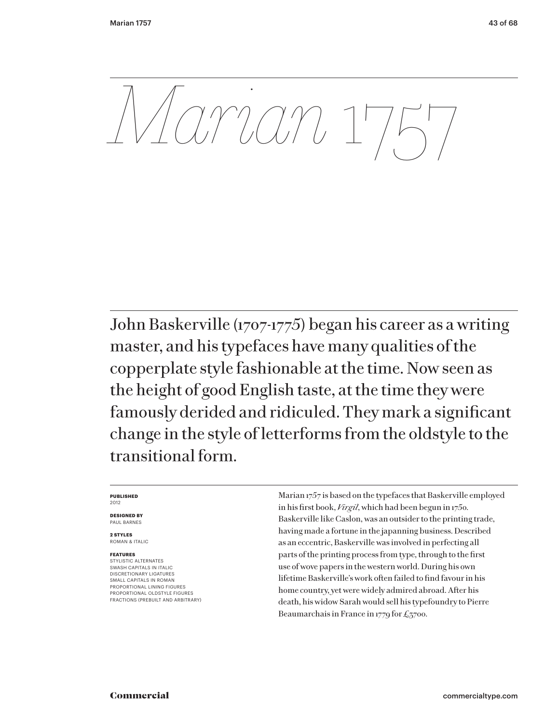*Marian* 1757

John Baskerville (1707-1775) began his career as a writing master, and his typefaces have many qualities of the copperplate style fashionable at the time. Now seen as the height of good English taste, at the time they were famously derided and ridiculed. They mark a significant change in the style of letterforms from the oldstyle to the transitional form.

#### **PUBLISHED** 2012

**DESIGNED BY** PAUL BARNES

**2 STYLES** ROMAN & ITALIC

# **FEATURES**

STYLISTIC ALTERNATES SWASH CAPITALS IN ITALIC DISCRETIONARY LIGATURES SMALL CAPITALS IN ROMAN PROPORTIONAL LINING FIGURES PROPORTIONAL OLDSTYLE FIGURES FRACTIONS (PREBUILT AND ARBITRARY) Marian 1757 is based on the typefaces that Baskerville employed in his first book, *Virgil*, which had been begun in 1750. Baskerville like Caslon, was an outsider to the printing trade, having made a fortune in the japanning business. Described as an eccentric, Baskerville was involved in perfecting all parts of the printing process from type, through to the first use of wove papers in the western world. During his own lifetime Baskerville's work often failed to find favour in his home country, yet were widely admired abroad. After his death, his widow Sarah would sell his typefoundry to Pierre Beaumarchais in France in 1779 for £3700.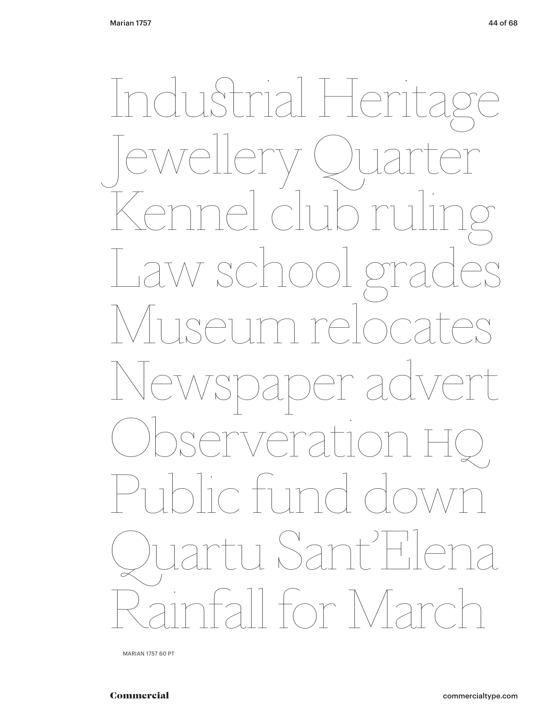InduStrial Herita Jewellery Quarter Kennel club ruling Law school grades Museum relocates Newspaper advert Observeration HQ ic fund dow<br>rtu Sant'Hl u Sant all for Marc

MARIAN 1757 60 PT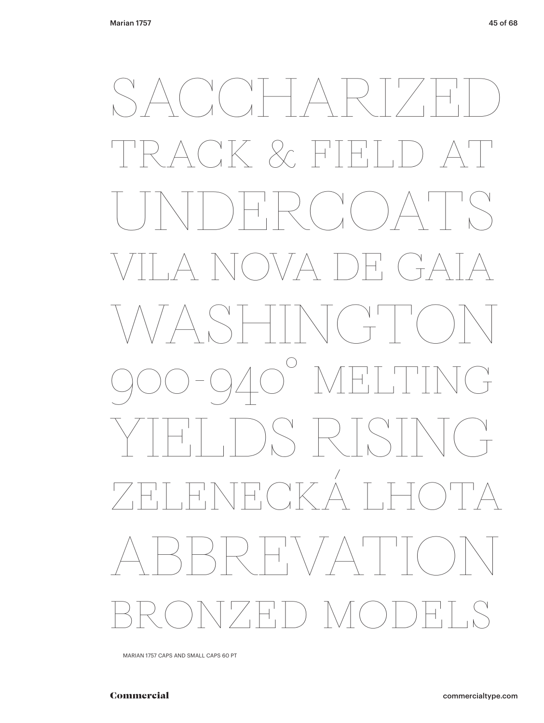$C K$  & FT  $\overline{\mathcal{A}}_{\overline{1}}^{\mathbb{I}}$  $\left($  $\overline{+}$  $\perp$  $\Box$  $\bigodot$  $\bigcirc$  $\mathbb{N}$ SRTS  $\begin{array}{cc} \begin{array}{cc} \mathcal{N} & \mathcal{N} \\ \mathcal{N} & \mathcal{N} \end{array} \end{array}$  $\sqrt{ }$  $\overline{+}$  $\bigcap_{i=1}^n$  $\overline{+}$  $\overline{+}$  $\left\langle \right\rangle$  $\bigcap_{\Lambda}$  $\overline{+}^+_{\scriptscriptstyle{+}}$  $\bigcup$ 

MARIAN 1757 CAPS AND SMALL CAPS 60 PT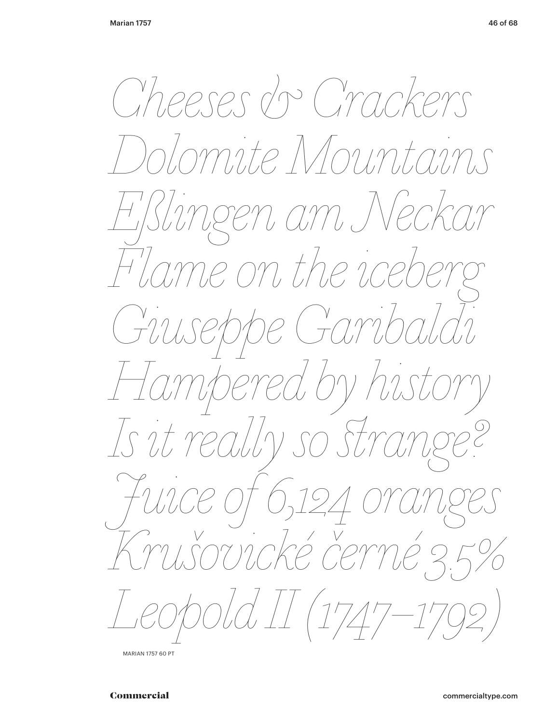![](_page_45_Picture_2.jpeg)

**MARIAN 1757 60 PT**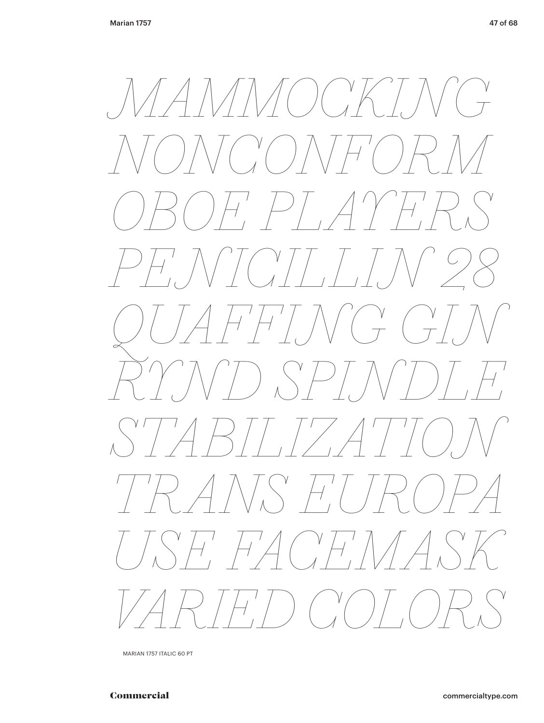![](_page_46_Picture_2.jpeg)

MARIAN 1757 ITALIC 60 PT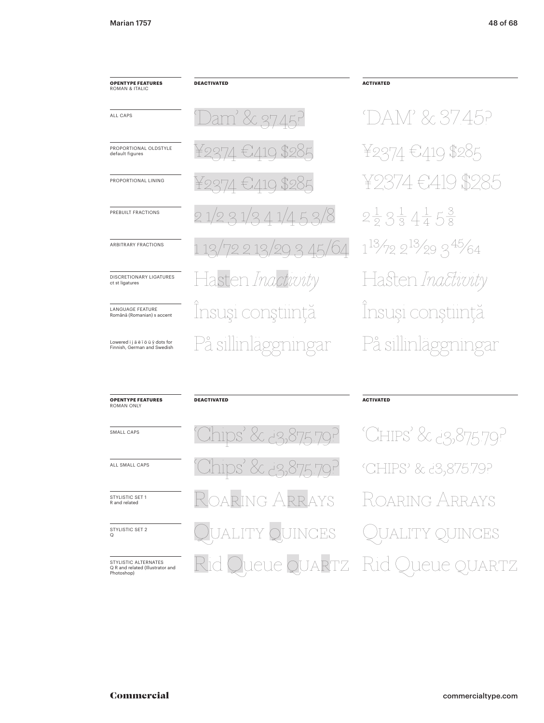ALL CAPS

default figures

PREBUILT FRACTIONS

ct st ligatures

LANGUAGE FEATURE Română (Romanian) s accent

Lowered i j ä ë ï ö ü ÿ dots for<br>Finnish, German and Swedish

# **OPENTYPE FEATURES**<br>ROMAN & ITALIC

 $27/$ 'ami PROPORTIONAL OLDSTYLE PROPORTIONAL LINING ARBITRARY FRACTIONS DISCRETIONARY LIGATURES isten *Inactwitv* 

**DEACTIVATED** 

**DEACTIVATED** 

Insuși conștiință På sillinlaggningar

# **ACTIVATED**

 $52/8$ 

 $345/64$ 

'DAM' & 37.45? ¥2374 €419 \$285 \$985  $\in$  419  $2\frac{1}{2}3\frac{1}{3}4\frac{1}{4}5\frac{3}{8}$  $1^{13}/722^{13}/293^{45}/64$ Hasten Inactivity Insuși conștiință På sillinläggningar

# SMALL CAPS

**OPENTYPE FEATURES** 

**ROMAN ONLY** 

ALL SMALL CAPS

### STYLISTIC SET 1 R and related

STYLISTIC SET 2

STYLISTIC ALTERNATES Q R and related (Illustrator and<br>Photoshop)

# daring Arrays **JINCES JTY** JARTZ 1C

**ACTIVATED** 

'CHIPS' & 23,875.79? 'CHIPS' & d3,875.79? oaring Arrays R **OUINCES** R JARTZ le el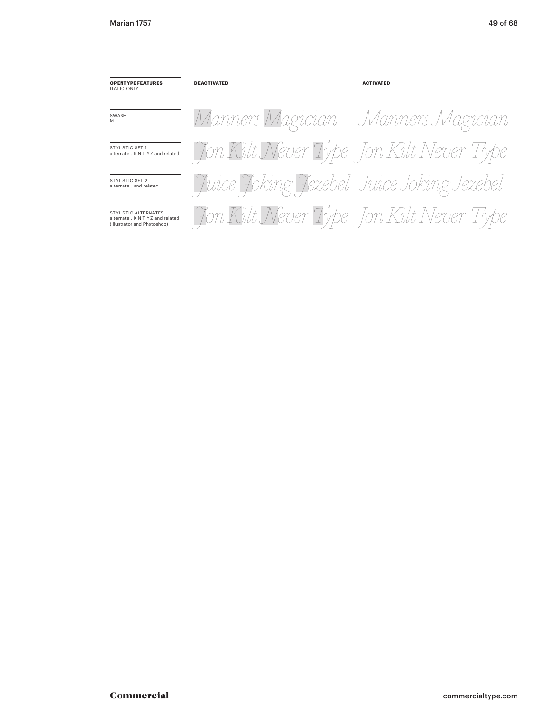**OPENTYPE FEATURES ITALIC ONLY** 

**DEACTIVATED** 

SWASH<br>M

STYLISTIC SET 1 alternate J K N T Y Z and related

STYLISTIC SET 2<br>alternate J and related

STYLISTIC ALTERNATES alternate J K N T Y Z and related<br>(Illustrator and Photoshop)

Manners Magician Manners Magician Jon Kilt Never Type Jon Kilt Never Type Juice Joking Jezebel Juice Joking Jezebel Fon Kilt Never Type Jon Kilt Never Type

**ACTIVATED**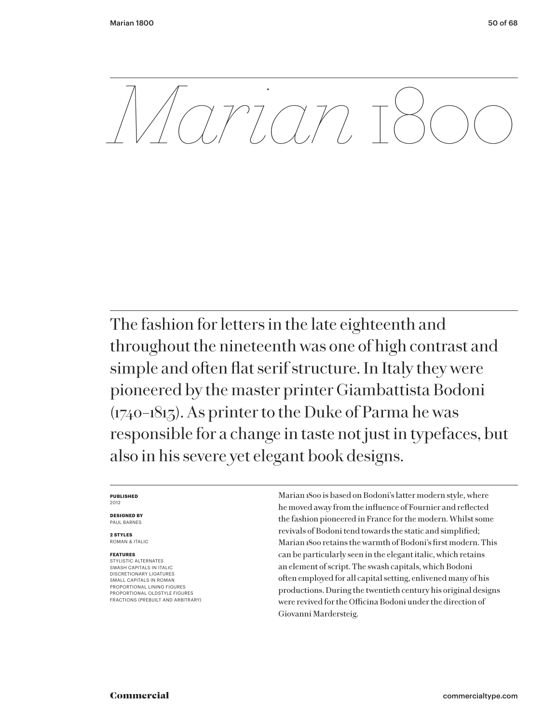*MM* 

The fashion for letters in the late eighteenth and throughout the nineteenth was one of high contrast and simple and often flat serif structure. In Italy they were pioneered by the master printer Giambattista Bodoni (1740–1813). As printer to the Duke of Parma he was responsible for a change in taste not just in typefaces, but also in his severe yet elegant book designs.

#### **PUBLISHED** 2012

**DESIGNED BY** PAUL BARNES

**2 STYLES** ROMAN & ITALIC

# **FEATURES**

STYLISTIC ALTERNATES SWASH CAPITALS IN ITALIC DISCRETIONARY LIGATURES SMALL CAPITALS IN ROMAN PROPORTIONAL LINING FIGURES PROPORTIONAL OLDSTYLE FIGURES FRACTIONS (PREBUILT AND ARBITRARY)

Marian 1800 is based on Bodoni's latter modern style, where he moved away from the influence of Fournier and reflected the fashion pioneered in France for the modern. Whilst some revivals of Bodoni tend towards the static and simplified; Marian 1800 retains the warmth of Bodoni's first modern. This can be particularly seen in the elegant italic, which retains an element of script. The swash capitals, which Bodoni often employed for all capital setting, enlivened many of his productions. During the twentieth century his original designs were revived for the Officina Bodoni under the direction of Giovanni Mardersteig.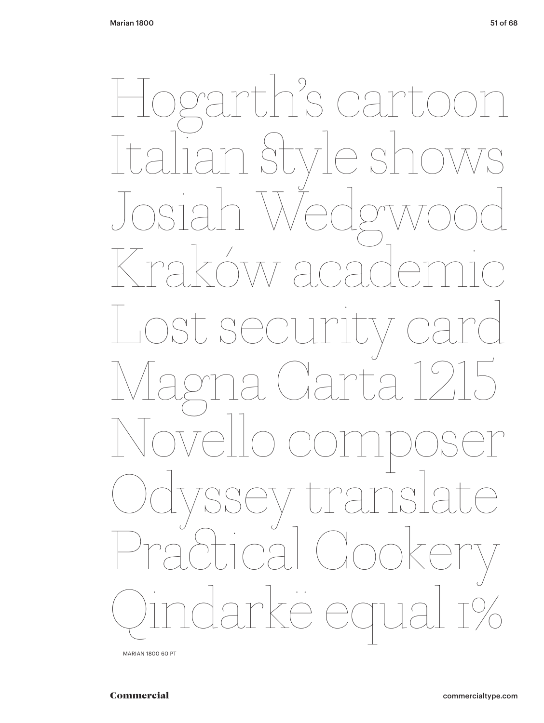![](_page_50_Picture_2.jpeg)

MARIAN 1800 60 PT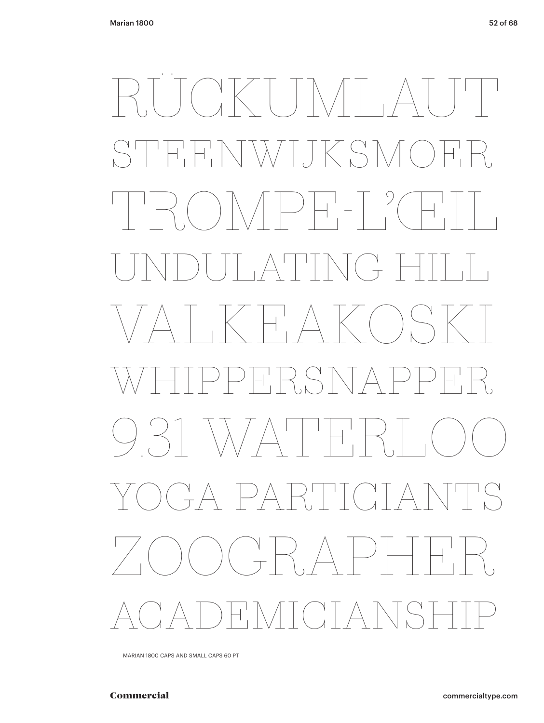# $(X \times T) \times T$  $\bigcirc$ **JKS1**  $\overline{+}^+_{\overline{+}}$  $\lambda/$  $\overline{+}\,$  $\bigcirc$  $\overline{\mathcal{A}}$  ,  $\begin{pmatrix} 1 \\ -1 \end{pmatrix}$  $\left\langle \begin{array}{c} \begin{array}{c} \end{array} \begin{array}{c} \end{array} \begin{array}{c} \end{array} \begin{array}{c} \end{array} \begin{array}{c} \end{array} \begin{array}{c} \end{array} \begin{array}{c} \end{array} \begin{array}{c} \end{array} \begin{array}{c} \end{array} \begin{array}{c} \end{array} \begin{array}{c} \end{array} \begin{array}{c} \end{array} \begin{array}{c} \end{array} \begin{array}{c} \end{array} \begin{array}{c} \end{array} \begin{array}{c} \end{array} \begin{array}{c} \end{array} \begin{array}{$  $\begin{pmatrix} 1 & 1 \\ 1 & 1 \end{pmatrix}$  $\left\{\bigcap_{\lambda \in \Lambda} \left( \bigcap_{\lambda \in \Lambda} \Lambda \right) \right\}$  $\dashv$  ,  $\vdash$  $\left|\sum_{i=1}^{n}x_i\right|$  $\left( \begin{array}{c} \vert & \vert & \vert \\ \vert & \vert & \vert \end{array} \right)$  $\setminus \wedge$  $\bigcap_{\lambda}$  $\frac{1}{T}$   $\bigwedge$  $\overline{\phantom{a}}$   $\overline{\phantom{a}}$  $\prec$  $\left( \begin{array}{c} \lambda \\ \pm \end{array} \right)$ )<br>\  $\left(\begin{array}{c} \lambda \\ \lambda \end{array}\right)$

MARIAN 1800 CAPS AND SMALL CAPS 60 PT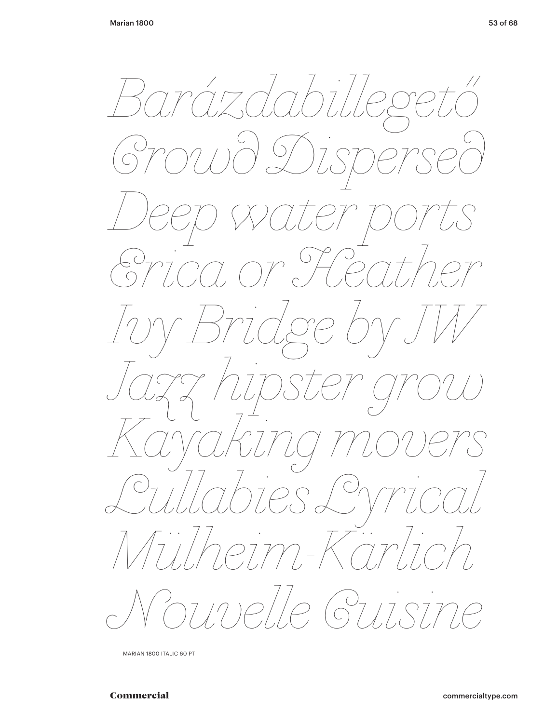![](_page_52_Picture_2.jpeg)

MARIAN 1800 ITALIC 60 PT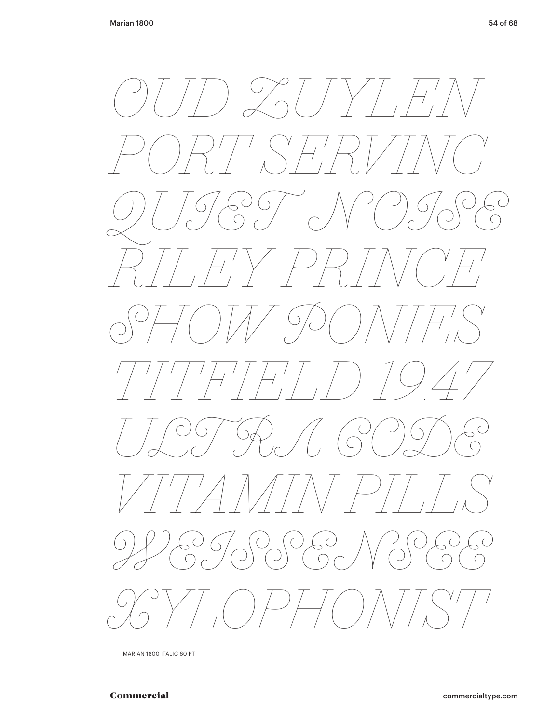![](_page_53_Picture_2.jpeg)

MARIAN 1800 ITALIC 60 PT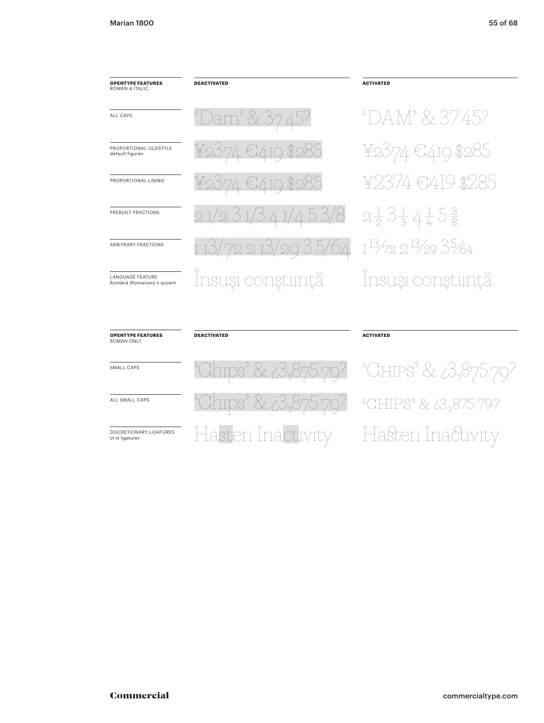| <b>OPENTYPE FEATURES</b><br><b>ROMAN &amp; ITALIC</b> | <b>DEACTIVATED</b>     | <b>ACTIVATED</b> |
|-------------------------------------------------------|------------------------|------------------|
| ALL CAPS                                              | Dam' & 37.45?          |                  |
| PROPORTIONAL OI DSTYLE<br>default figures             | ¥2374 €419 \$285       | ¥ojk             |
| PROPORTIONAL LINING                                   | ¥2374 €419 \$285       | 大心               |
| PREBUILT FRACTIONS                                    |                        | $2\frac{1}{2}$   |
| <b>ARBITRARY FRACTIONS</b>                            | 1 i3/72 2 i3/29 3 5/64 | $1^{3/7}$        |
| <b>LANGUAGE FEATURE</b><br>Română (Romanian) s accent | Însuși conștiință      |                  |
|                                                       |                        |                  |

# DAM' & 37.45? 2374 €419 \$285  $\frac{1}{2}3\frac{1}{3}4\frac{1}{4}5\frac{3}{8}$ <sup>13</sup>/72 2<sup>13</sup>/29 3<sup>5</sup>/64 nsuși conștiință

| <b>OPENTYPE FEATURES</b><br><b>ROMAN ONLY</b>     | <b>DEACTIVATED</b>                                   | <b>ACTIVATED</b>                                     |
|---------------------------------------------------|------------------------------------------------------|------------------------------------------------------|
| SMALL CAPS                                        |                                                      | <u>"Chips" &amp; ¿3,875.79?</u> "Chips" & ¿3,875.79? |
| ALL SMALL CAPS                                    | <u>"Chips" &amp; ¿3,875.79?</u> "CHIPS" & ¿3,875.79? |                                                      |
| <b>DISCRETIONARY LIGATURES</b><br>ct st ligatures | Hasten Inactivity                                    | - Hasten Inactivity                                  |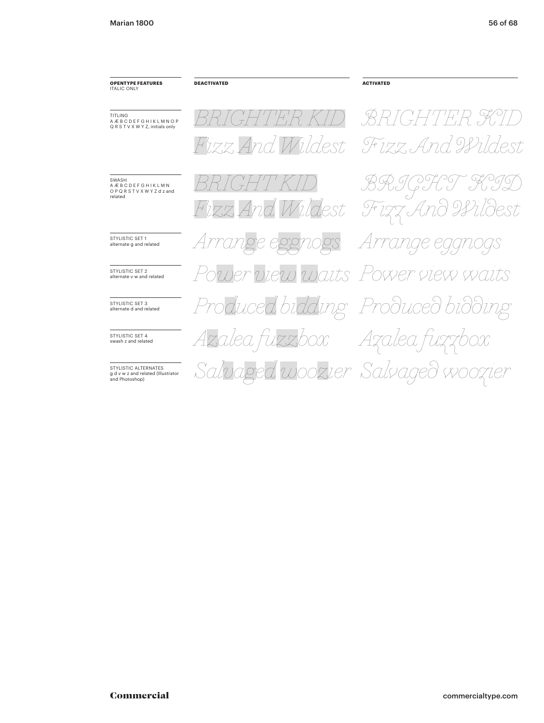**DEACTIVATED ACTIVATED**  $A$ rrustic set 1 alternate g and related *Arrange eggnogs* **POWER VIEW WALLS POWER VIEW AND ALLET SET 2** *Produced bidding* STYLISTIC SET 3 alternate d and related *Produced bidding Azalea fuzzbox Salvaged woozier Salvaged woozier Azalea fuzzbox BRIGHT KID BRIGHTER KID BRIGHT KID BRIGHTER KID Fizz And Wildest Fizz And Wildest Fizz And Wildest Fizz And Wildest*

**OPENTYPE FEATURES** ITALIC ONLY

TITLING A Æ B C D E F G H I K L M N O P Q R S T V X W Y Z, initials only

SWASH A Æ B C D E F G H I K L M N O P Q R S T V X W Y Z d z and related

STYLISTIC SET 4 swash z and related

STYLISTIC ALTERNATES g d v w z and related (Illustrator and Photoshop)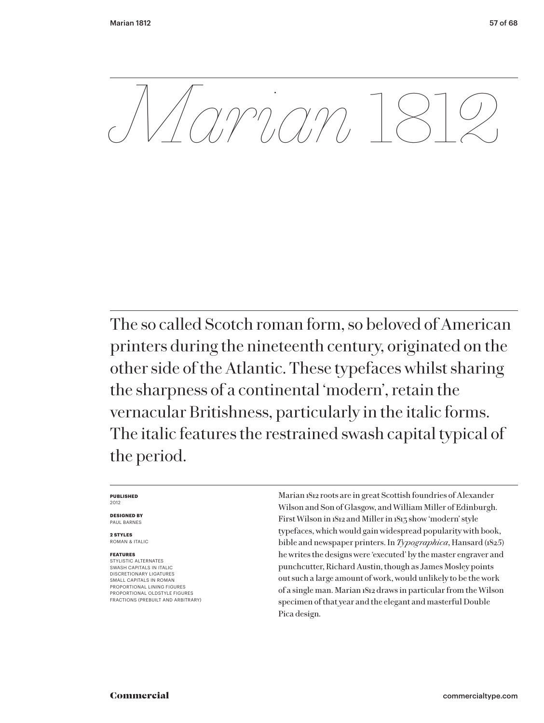*Marian* 1812

The so called Scotch roman form, so beloved of American printers during the nineteenth century, originated on the other side of the Atlantic. These typefaces whilst sharing the sharpness of a continental 'modern', retain the vernacular Britishness, particularly in the italic forms. The italic features the restrained swash capital typical of the period.

#### **PUBLISHED** 2012

**DESIGNED BY** PAUL BARNES

**2 STYLES** ROMAN & ITALIC

# **FEATURES**

STYLISTIC ALTERNATES SWASH CAPITALS IN ITALIC DISCRETIONARY LIGATURES SMALL CAPITALS IN ROMAN PROPORTIONAL LINING FIGURES PROPORTIONAL OLDSTYLE FIGURES FRACTIONS (PREBUILT AND ARBITRARY) Marian 1812 roots are in great Scottish foundries of Alexander Wilson and Son of Glasgow, and William Miller of Edinburgh. First Wilson in 1812 and Miller in 1813 show 'modern' style typefaces, which would gain widespread popularity with book, bible and newspaper printers. In *Typographica*, Hansard (1825) he writes the designs were 'executed' by the master engraver and punchcutter, Richard Austin, though as James Mosley points out such a large amount of work, would unlikely to be the work of a single man. Marian 1812 draws in particular from the Wilson specimen of that year and the elegant and masterful Double Pica design.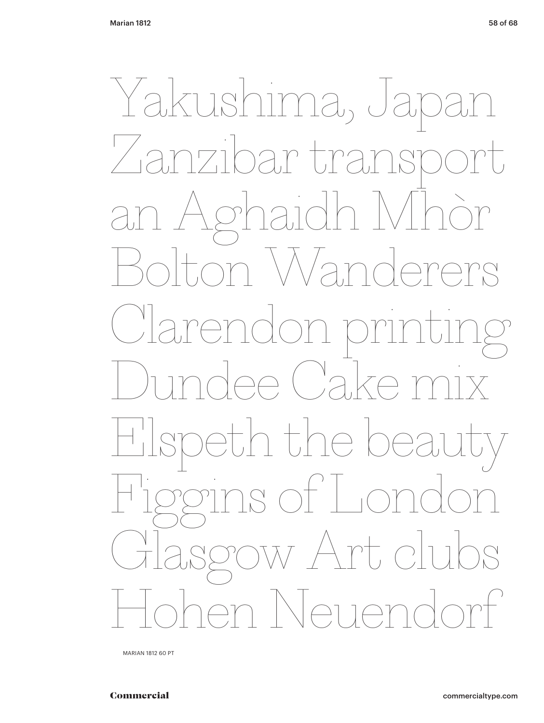Yakushima, J Zanzibar transport an Aghaidh Mhòr Bolton Wanderers Clarendon printing de Cake Cake eth the be Figgins of London Glasgow Art clubs Hohen Neuendorf

MARIAN 1812 60 PT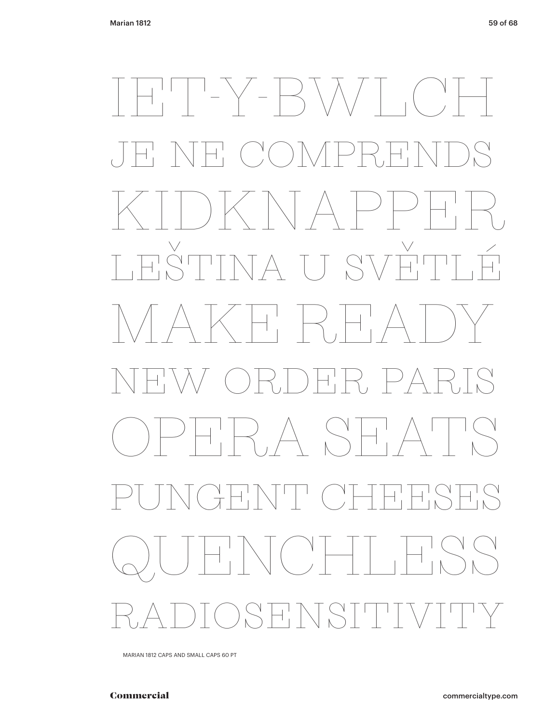# IET-Y-BWLCH JE NE COMPRENDS KIDKNAPPER LEŠTINA U SVĚTLÉ  $\begin{array}{ccc} \begin{array}{c} \begin{array}{c} \end{array} & \begin{array}{c} \end{array} & \begin{array}{c} \end{array} & \begin{array}{c} \end{array} & \begin{array}{c} \end{array} & \begin{array}{c} \end{array} & \begin{array}{c} \end{array} & \begin{array}{c} \end{array} & \begin{array}{c} \end{array} & \begin{array}{c} \end{array} & \begin{array}{c} \end{array} & \begin{array}{c} \end{array} & \begin{array}{c} \end{array} & \begin{array}{c} \end{array} & \begin{array}{c} \end{array} & \begin{array}{c} \end{array$ NEW ORDER PARIS OPERA SEATS PUNGENT CHEESES  $\sqrt{(2\pi)^{11}}$ RADIOSENSITIVITY

MARIAN 1812 CAPS AND SMALL CAPS 60 PT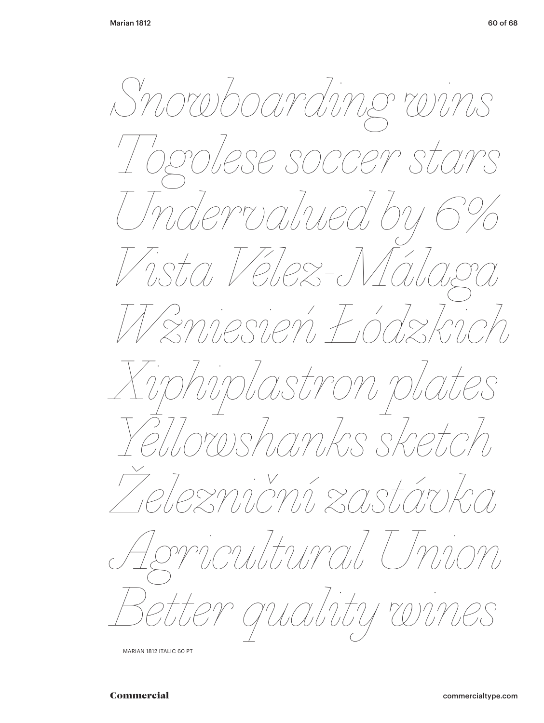Snowboarding wins bgolese soccer stars Tndervalued by Vista Velez-Mál W zniesień Łódzkim iphiplastron plates roshanks sketch Teznicní zastárka noutural Unio er guality wir

MARIAN 1812 ITALIC 60 PT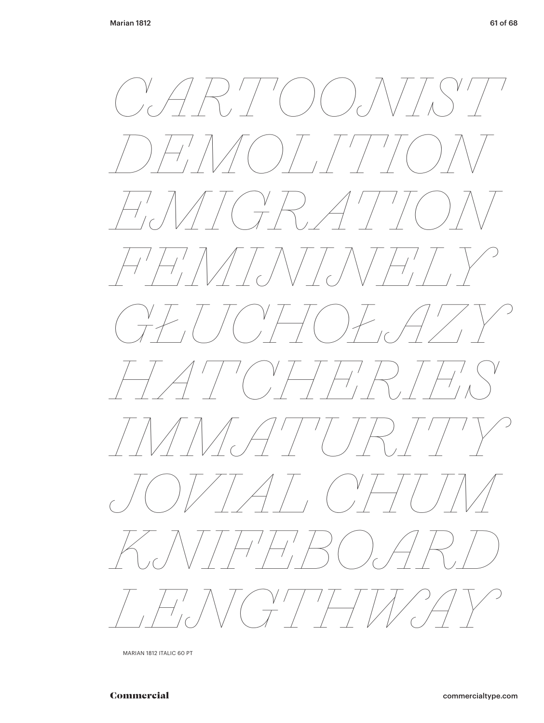![](_page_60_Picture_2.jpeg)

MARIAN 1812 ITALIC 60 PT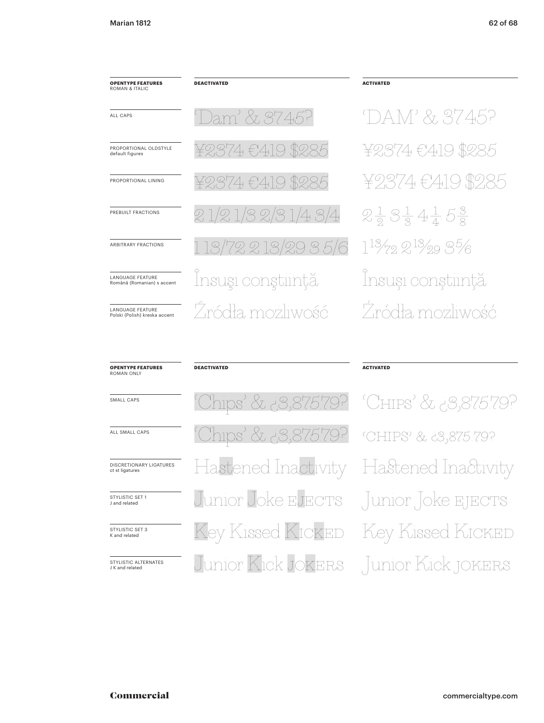| <b>OPENTYPE FEATURES</b><br>ROMAN & ITALIC               | <b>DEACTIVATED</b> | <b>ACTIVATED</b> |
|----------------------------------------------------------|--------------------|------------------|
| ALL CAPS                                                 | Dam' & 37.45?      |                  |
| PROPORTIONAL OI DSTYLE<br>default figures                | ¥2374 €419 \$285   |                  |
| PROPORTIONAL LINING                                      | ¥2374 €419 \$285   | 半ツー              |
| PREBUILT FRACTIONS                                       | 21/21/32/31/43/4   | $2\frac{1}{2}$   |
| <b>ARBITRARY FRACTIONS</b>                               | 113/72213/2935/6   | $1^{13/7}$       |
| <b>LANGUAGE FEATURE</b><br>Română (Romanian) s accent    | Însuși conștiință  | Însı             |
| <b>LANGUAGE FEATURE</b><br>Polski (Polish) kreska accent | Žródła, możliwość  |                  |

# DAM' & 37.45? ¥2374 €419 \$285 ¥2374 €419 \$285  $2\frac{1}{2}3\frac{1}{3}4\frac{1}{4}5\frac{3}{8}$  $1^{13}/_{72}$  2 $^{13}/_{29}$  3 $^{5}/_{6}$ lnsuși conștiință Źródła możliwość

| <b>OPENTYPE FEATURES</b><br><b>ROMAN ONLY</b> | <b>DEACTIVATED</b>                      | <b>ACTIVATED</b> |
|-----------------------------------------------|-----------------------------------------|------------------|
| SMALL CAPS                                    | Chips' & 3,875.79? CHIPS' & 3,875.79?   |                  |
| ALL SMALL CAPS                                | Chips' & 3,875.79? CHIPS' & 3,875.79?   |                  |
| DISCRETIONARY LIGATURES<br>ct st ligatures    | Hastened Inactivity Hastened Inactivity |                  |
| STYLISTIC SFT 1<br>J and related              | Junior Joke EJECTS Junior Joke EJECTS   |                  |
| STYLISTIC SET 3<br>K and related              | Key Kissed KICKED Key Kissed KICKED     |                  |
| STYLISTIC ALTERNATES<br>J K and related       | Junior Kick JOKERS Junior Kick JOKERS   |                  |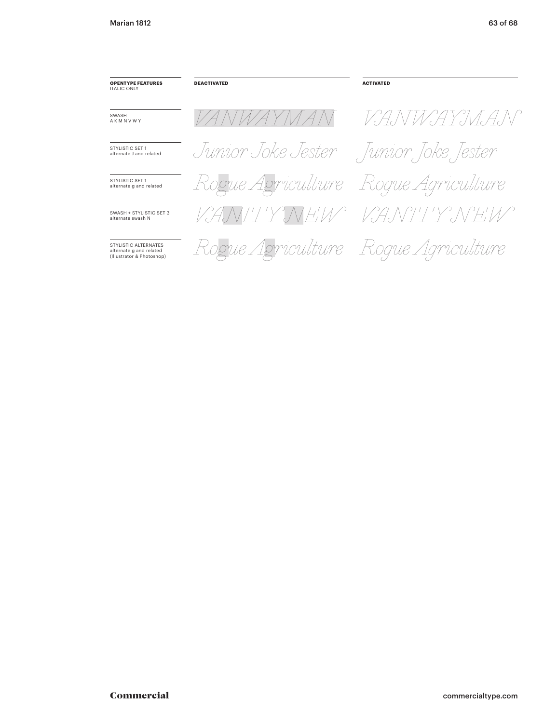| <b>OPENTYPE FEATURES</b><br><b>ITALIC ONLY</b>                               | <b>DEACTIVATED</b>                  | <b>ACTIVATED</b>   |
|------------------------------------------------------------------------------|-------------------------------------|--------------------|
| SWASH<br>AKMNVWY                                                             | VANWAY MA                           | VANWAYMAN          |
| STYLISTIC SFT 1<br>alternate J and related                                   | Junior Joke Jester                  | Junior Joke Jester |
| STYLISTIC SFT 1<br>alternate g and related                                   | Rogue Agriculture Roque Agriculture |                    |
| SWASH + STYLISTIC SFT 3<br>alternate swash N                                 | VANITY A                            | JEW VANTTY NEW     |
| STYLISTIC ALTERNATES<br>alternate g and related<br>(Illustrator & Photoshop) | Rogue Agriculture Roque Agriculture |                    |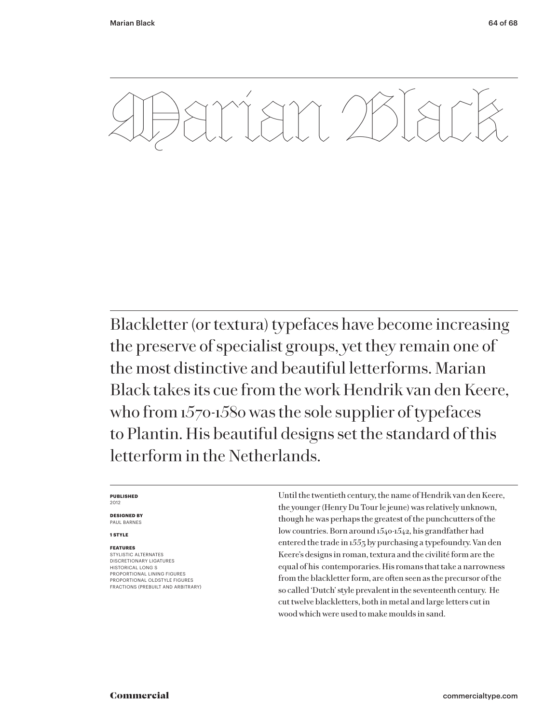![](_page_63_Picture_2.jpeg)

Blackletter (or textura) typefaces have become increasing the preserve of specialist groups, yet they remain one of the most distinctive and beautiful letterforms. Marian Black takes its cue from the work Hendrik van den Keere, who from 1570-1580 was the sole supplier of typefaces to Plantin. His beautiful designs set the standard of this letterform in the Netherlands.

#### **PUBLISHED** 2012

**DESIGNED BY** PAUL BARNES

### **1 STYLE**

### **FEATURES**

STYLISTIC ALTERNATES DISCRETIONARY LIGATURES HISTORICAL LONG S PROPORTIONAL LINING FIGURES PROPORTIONAL OLDSTYLE FIGURES FRACTIONS (PREBUILT AND ARBITRARY) Until the twentieth century, the name of Hendrik van den Keere, the younger (Henry Du Tour le jeune) was relatively unknown, though he was perhaps the greatest of the punchcutters of the low countries. Born around 1540-1542, his grandfather had entered the trade in 1553 by purchasing a typefoundry. Van den Keere's designs in roman, textura and the civilité form are the equal of his contemporaries. His romans that take a narrowness from the blackletter form, are often seen as the precursor of the so called 'Dutch' style prevalent in the seventeenth century. He cut twelve blackletters, both in metal and large letters cut in wood which were used to make moulds in sand.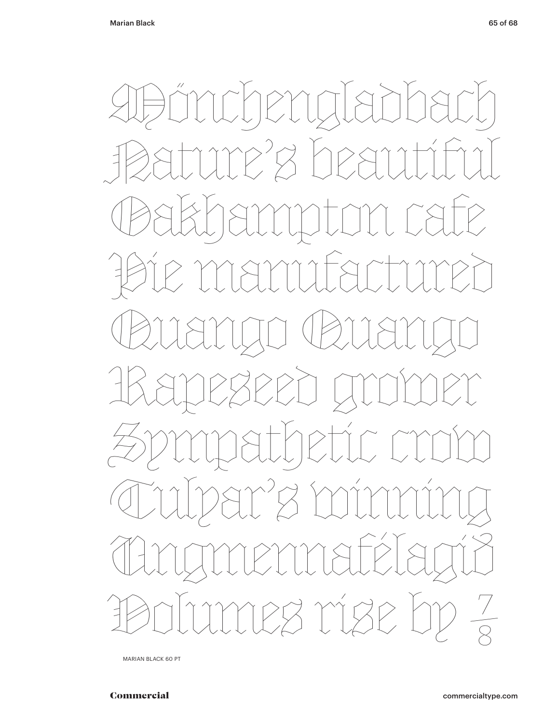![](_page_64_Picture_2.jpeg)

MARIAN BLACK 60 PT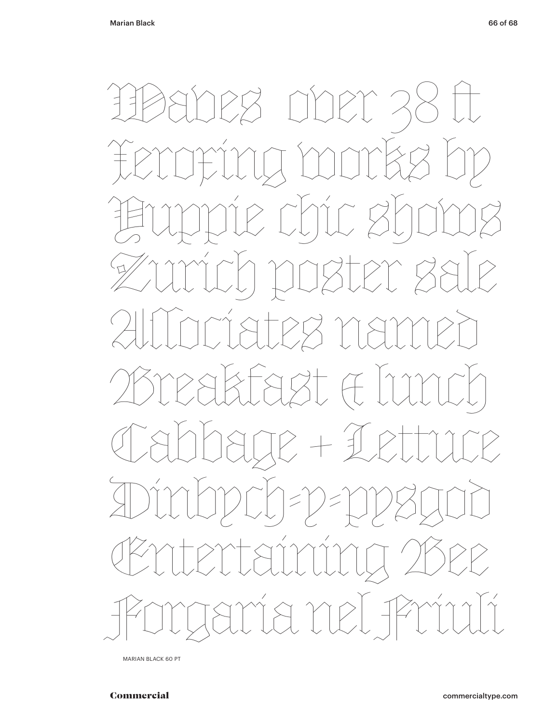![](_page_65_Picture_2.jpeg)

MARIAN BLACK 60 PT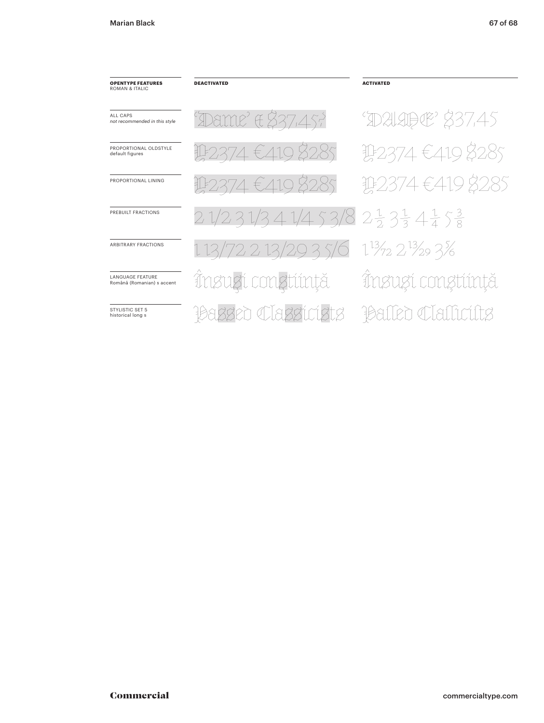| <b>OPENTYPE FEATURES</b><br>ROMAN & ITALIC             | <b>DEACTIVATED</b>                                               | <b>ACTIVATED</b>       |
|--------------------------------------------------------|------------------------------------------------------------------|------------------------|
| ALL CAPS<br>not recommended in this style              | Dame' & \$37,457                                                 | <b>DALABOE</b> \$37,45 |
| PROPORTIONAL OI DSTYLE<br>default figures              | 112374€4198285                                                   | 142374€4198285         |
| PROPORTIONAL LINING                                    | 112374€4198285                                                   | 102374€419 \$285       |
| PREBUILT FRACTIONS                                     | 21/231/341/453/823334153                                         |                        |
| <b>ARBITRARY FRACTIONS</b>                             | 1 13/72 2 13/29 3 5/6 1 <sup>13</sup> /2 2 <sup>13</sup> /29 3/6 |                        |
| <b>I ANGUAGE FEATURE</b><br>Română (Romanian) s accent | Însuzi congtiință                                                | Însugí congtiință      |
| STYLISTIC SFT 5<br>historical long s                   | en Classinists                                                   | <b>Claffirif</b>       |